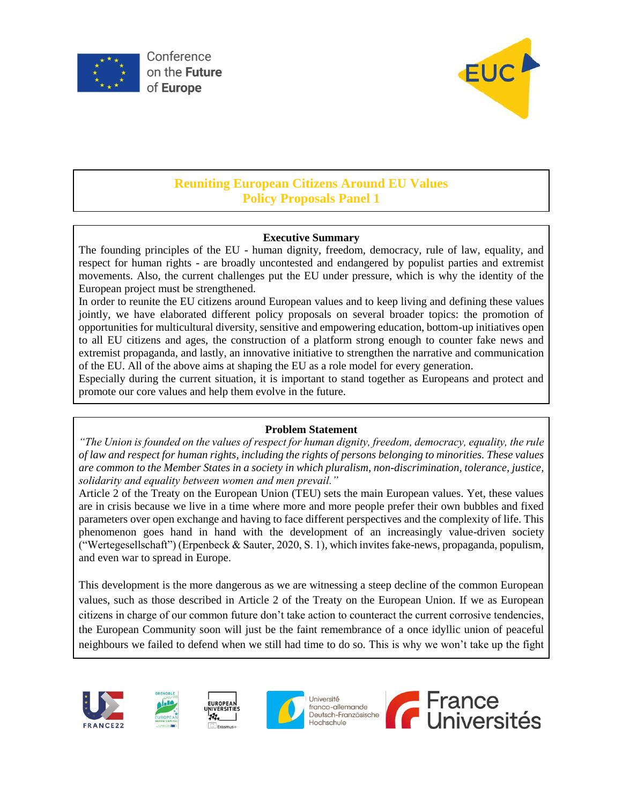



### **Reuniting European Citizens Around EU Values Policy Proposals Panel 1**

#### **Executive Summary**

The founding principles of the EU - human dignity, freedom, democracy, rule of law, equality, and respect for human rights - are broadly uncontested and endangered by populist parties and extremist movements. Also, the current challenges put the EU under pressure, which is why the identity of the European project must be strengthened.

In order to reunite the EU citizens around European values and to keep living and defining these values jointly, we have elaborated different policy proposals on several broader topics: the promotion of opportunities for multicultural diversity, sensitive and empowering education, bottom-up initiatives open to all EU citizens and ages, the construction of a platform strong enough to counter fake news and extremist propaganda, and lastly, an innovative initiative to strengthen the narrative and communication of the EU. All of the above aims at shaping the EU as a role model for every generation.

Especially during the current situation, it is important to stand together as Europeans and protect and promote our core values and help them evolve in the future.

#### **Problem Statement**

*"The Union is founded on the values of respect for human dignity, freedom, democracy, equality, the rule of law and respect for human rights, including the rights of persons belonging to minorities. These values are common to the Member States in a society in which pluralism, non-discrimination, tolerance, justice, solidarity and equality between women and men prevail."*

Article 2 of the Treaty on the European Union (TEU) sets the main European values. Yet, these values are in crisis because we live in a time where more and more people prefer their own bubbles and fixed parameters over open exchange and having to face different perspectives and the complexity of life. This phenomenon goes hand in hand with the development of an increasingly value-driven society ("Wertegesellschaft") (Erpenbeck & Sauter, 2020, S. 1), which invites fake-news, propaganda, populism, and even war to spread in Europe.

This development is the more dangerous as we are witnessing a steep decline of the common European values, such as those described in Article 2 of the Treaty on the European Union. If we as European citizens in charge of our common future don't take action to counteract the current corrosive tendencies, the European Community soon will just be the faint remembrance of a once idyllic union of peaceful neighbours we failed to defend when we still had time to do so. This is why we won't take up the fight

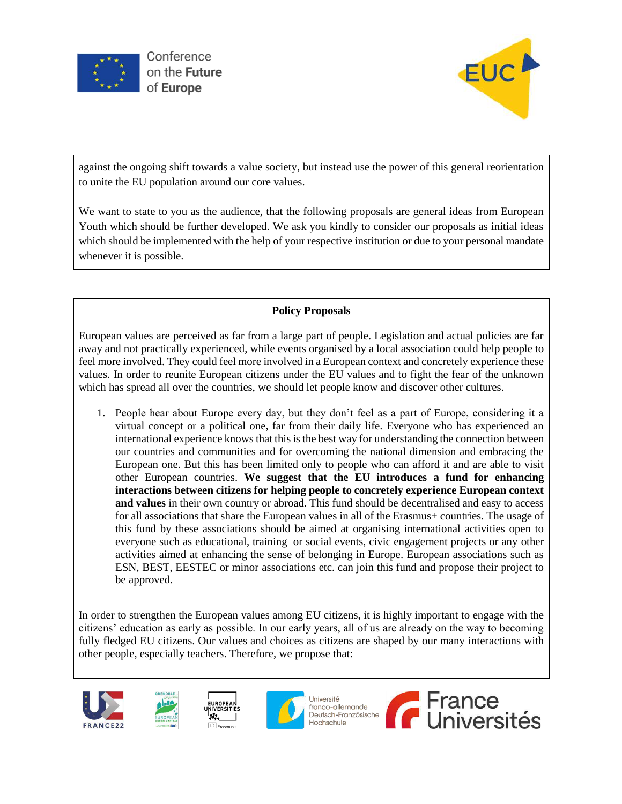



against the ongoing shift towards a value society, but instead use the power of this general reorientation to unite the EU population around our core values.

We want to state to you as the audience, that the following proposals are general ideas from European Youth which should be further developed. We ask you kindly to consider our proposals as initial ideas which should be implemented with the help of your respective institution or due to your personal mandate whenever it is possible.

#### **Policy Proposals**

European values are perceived as far from a large part of people. Legislation and actual policies are far away and not practically experienced, while events organised by a local association could help people to feel more involved. They could feel more involved in a European context and concretely experience these values. In order to reunite European citizens under the EU values and to fight the fear of the unknown which has spread all over the countries, we should let people know and discover other cultures.

1. People hear about Europe every day, but they don't feel as a part of Europe, considering it a virtual concept or a political one, far from their daily life. Everyone who has experienced an international experience knows that this is the best way for understanding the connection between our countries and communities and for overcoming the national dimension and embracing the European one. But this has been limited only to people who can afford it and are able to visit other European countries. **We suggest that the EU introduces a fund for enhancing interactions between citizens for helping people to concretely experience European context and values** in their own country or abroad. This fund should be decentralised and easy to access for all associations that share the European values in all of the Erasmus+ countries. The usage of this fund by these associations should be aimed at organising international activities open to everyone such as educational, training or social events, civic engagement projects or any other activities aimed at enhancing the sense of belonging in Europe. European associations such as ESN, BEST, EESTEC or minor associations etc. can join this fund and propose their project to be approved.

In order to strengthen the European values among EU citizens, it is highly important to engage with the citizens' education as early as possible. In our early years, all of us are already on the way to becoming fully fledged EU citizens. Our values and choices as citizens are shaped by our many interactions with other people, especially teachers. Therefore, we propose that:







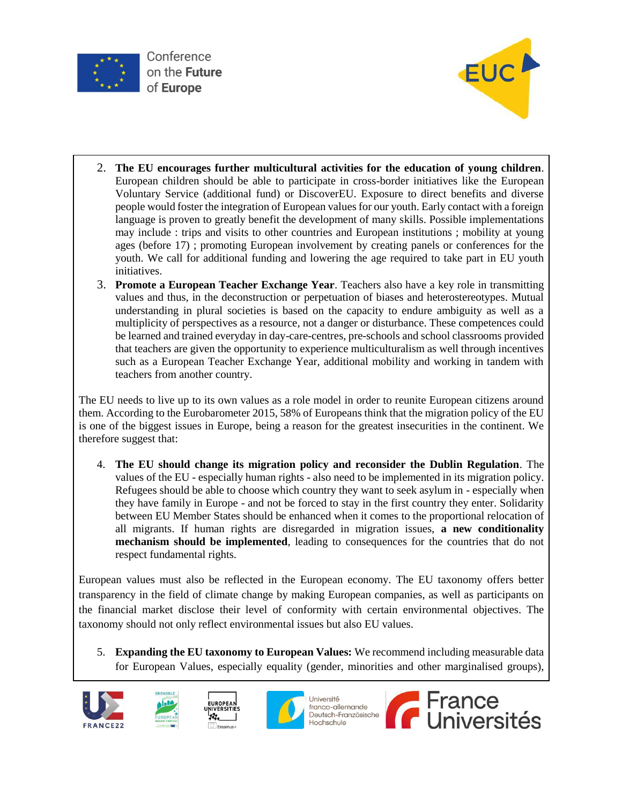



- 2. **The EU encourages further multicultural activities for the education of young children**. European children should be able to participate in cross-border initiatives like the European Voluntary Service (additional fund) or DiscoverEU. Exposure to direct benefits and diverse people would foster the integration of European values for our youth. Early contact with a foreign language is proven to greatly benefit the development of many skills. Possible implementations may include : trips and visits to other countries and European institutions ; mobility at young ages (before 17) ; promoting European involvement by creating panels or conferences for the youth. We call for additional funding and lowering the age required to take part in EU youth initiatives.
- 3. **Promote a European Teacher Exchange Year**. Teachers also have a key role in transmitting values and thus, in the deconstruction or perpetuation of biases and heterostereotypes. Mutual understanding in plural societies is based on the capacity to endure ambiguity as well as a multiplicity of perspectives as a resource, not a danger or disturbance. These competences could be learned and trained everyday in day-care-centres, pre-schools and school classrooms provided that teachers are given the opportunity to experience multiculturalism as well through incentives such as a European Teacher Exchange Year, additional mobility and working in tandem with teachers from another country.

The EU needs to live up to its own values as a role model in order to reunite European citizens around them. According to the Eurobarometer 2015, 58% of Europeans think that the migration policy of the EU is one of the biggest issues in Europe, being a reason for the greatest insecurities in the continent. We therefore suggest that:

4. **The EU should change its migration policy and reconsider the Dublin Regulation**. The values of the EU - especially human rights - also need to be implemented in its migration policy. Refugees should be able to choose which country they want to seek asylum in - especially when they have family in Europe - and not be forced to stay in the first country they enter. Solidarity between EU Member States should be enhanced when it comes to the proportional relocation of all migrants. If human rights are disregarded in migration issues, **a new conditionality mechanism should be implemented**, leading to consequences for the countries that do not respect fundamental rights.

European values must also be reflected in the European economy. The EU taxonomy offers better transparency in the field of climate change by making European companies, as well as participants on the financial market disclose their level of conformity with certain environmental objectives. The taxonomy should not only reflect environmental issues but also EU values.

5. **Expanding the EU taxonomy to European Values:** We recommend including measurable data for European Values, especially equality (gender, minorities and other marginalised groups),





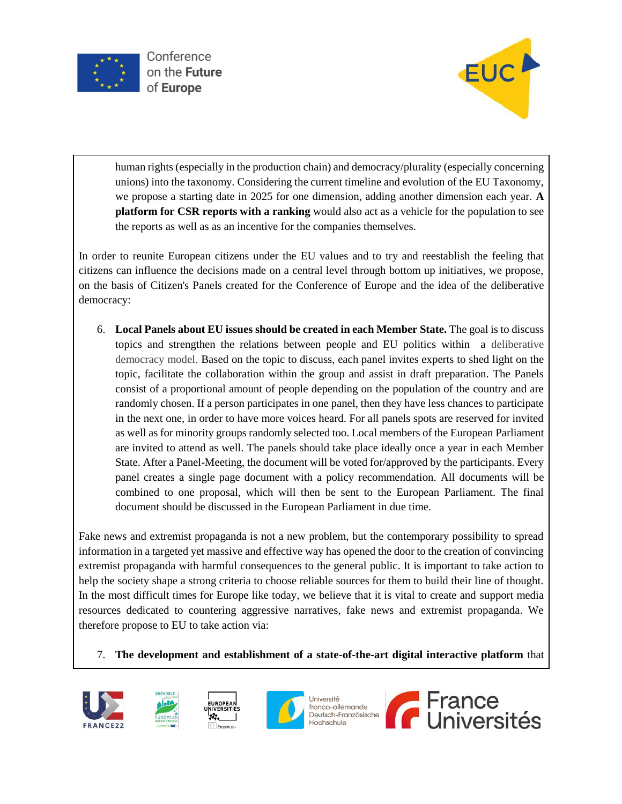



human rights (especially in the production chain) and democracy/plurality (especially concerning unions) into the taxonomy. Considering the current timeline and evolution of the EU Taxonomy, we propose a starting date in 2025 for one dimension, adding another dimension each year. **A platform for CSR reports with a ranking** would also act as a vehicle for the population to see the reports as well as as an incentive for the companies themselves.

In order to reunite European citizens under the EU values and to try and reestablish the feeling that citizens can influence the decisions made on a central level through bottom up initiatives, we propose, on the basis of Citizen's Panels created for the Conference of Europe and the idea of the deliberative democracy:

6. **Local Panels about EU issues should be created in each Member State.** The goal is to discuss topics and strengthen the relations between people and EU politics within a deliberative democracy model. Based on the topic to discuss, each panel invites experts to shed light on the topic, facilitate the collaboration within the group and assist in draft preparation. The Panels consist of a proportional amount of people depending on the population of the country and are randomly chosen. If a person participates in one panel, then they have less chances to participate in the next one, in order to have more voices heard. For all panels spots are reserved for invited as well as for minority groups randomly selected too. Local members of the European Parliament are invited to attend as well. The panels should take place ideally once a year in each Member State. After a Panel-Meeting, the document will be voted for/approved by the participants. Every panel creates a single page document with a policy recommendation. All documents will be combined to one proposal, which will then be sent to the European Parliament. The final document should be discussed in the European Parliament in due time.

Fake news and extremist propaganda is not a new problem, but the contemporary possibility to spread information in a targeted yet massive and effective way has opened the door to the creation of convincing extremist propaganda with harmful consequences to the general public. It is important to take action to help the society shape a strong criteria to choose reliable sources for them to build their line of thought. In the most difficult times for Europe like today, we believe that it is vital to create and support media resources dedicated to countering aggressive narratives, fake news and extremist propaganda. We therefore propose to EU to take action via:

7. **The development and establishment of a state-of-the-art digital interactive platform** that

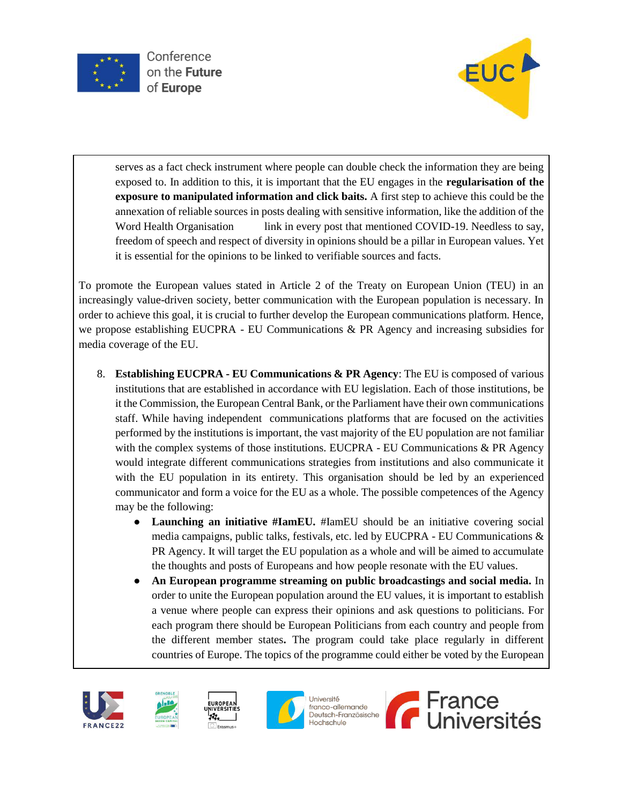



serves as a fact check instrument where people can double check the information they are being exposed to. In addition to this, it is important that the EU engages in the **regularisation of the exposure to manipulated information and click baits.** A first step to achieve this could be the annexation of reliable sources in posts dealing with sensitive information, like the addition of the Word Health Organisation link in every post that mentioned COVID-19. Needless to say, freedom of speech and respect of diversity in opinions should be a pillar in European values. Yet it is essential for the opinions to be linked to verifiable sources and facts.

To promote the European values stated in Article 2 of the Treaty on European Union (TEU) in an increasingly value-driven society, better communication with the European population is necessary. In order to achieve this goal, it is crucial to further develop the European communications platform. Hence, we propose establishing EUCPRA - EU Communications & PR Agency and increasing subsidies for media coverage of the EU.

- 8. **Establishing EUCPRA - EU Communications & PR Agency**: The EU is composed of various institutions that are established in accordance with EU legislation. Each of those institutions, be it the Commission, the European Central Bank, or the Parliament have their own communications staff. While having independent communications platforms that are focused on the activities performed by the institutions is important, the vast majority of the EU population are not familiar with the complex systems of those institutions. EUCPRA - EU Communications & PR Agency would integrate different communications strategies from institutions and also communicate it with the EU population in its entirety. This organisation should be led by an experienced communicator and form a voice for the EU as a whole. The possible competences of the Agency may be the following:
	- **Launching an initiative #IamEU.** #IamEU should be an initiative covering social media campaigns, public talks, festivals, etc. led by EUCPRA - EU Communications & PR Agency. It will target the EU population as a whole and will be aimed to accumulate the thoughts and posts of Europeans and how people resonate with the EU values.
	- **An European programme streaming on public broadcastings and social media.** In order to unite the European population around the EU values, it is important to establish a venue where people can express their opinions and ask questions to politicians. For each program there should be European Politicians from each country and people from the different member states**.** The program could take place regularly in different countries of Europe. The topics of the programme could either be voted by the European









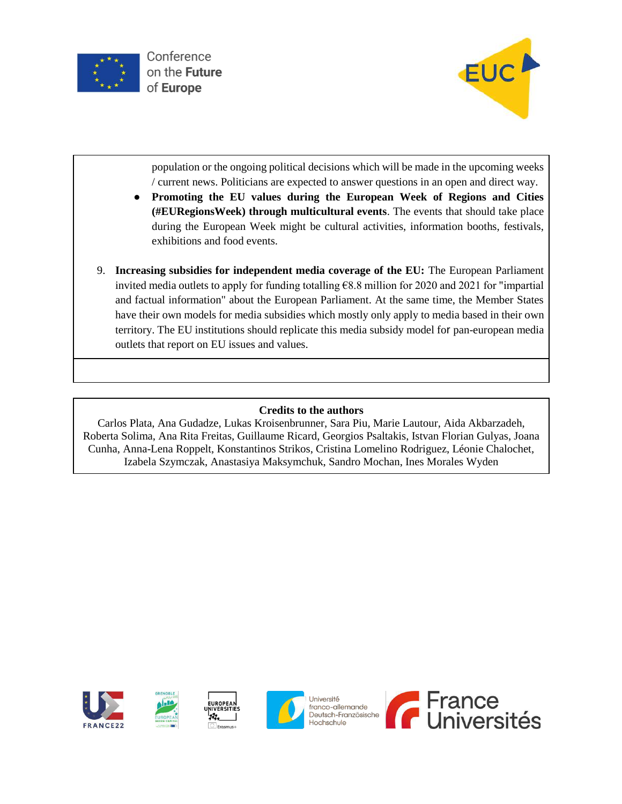

EUC

population or the ongoing political decisions which will be made in the upcoming weeks / current news. Politicians are expected to answer questions in an open and direct way.

- **Promoting the EU values during the European Week of Regions and Cities (#EURegionsWeek) through multicultural events**. The events that should take place during the European Week might be cultural activities, information booths, festivals, exhibitions and food events.
- 9. **Increasing subsidies for independent media coverage of the EU:** The European Parliament invited media outlets to apply for funding totalling  $\epsilon$ 8.8 million for 2020 and 2021 for "impartial" and factual information" about the European Parliament. At the same time, the Member States have their own models for media subsidies which mostly only apply to media based in their own territory. The EU institutions should replicate this media subsidy model for pan-european media outlets that report on EU issues and values.

#### **Credits to the authors**

Carlos Plata, Ana Gudadze, Lukas Kroisenbrunner, Sara Piu, Marie Lautour, Aida Akbarzadeh, Roberta Solima, Ana Rita Freitas, Guillaume Ricard, Georgios Psaltakis, Istvan Florian Gulyas, Joana Cunha, Anna-Lena Roppelt, Konstantinos Strikos, Cristina Lomelino Rodriguez, Léonie Chalochet, Izabela Szymczak, Anastasiya Maksymchuk, Sandro Mochan, Ines Morales Wyden

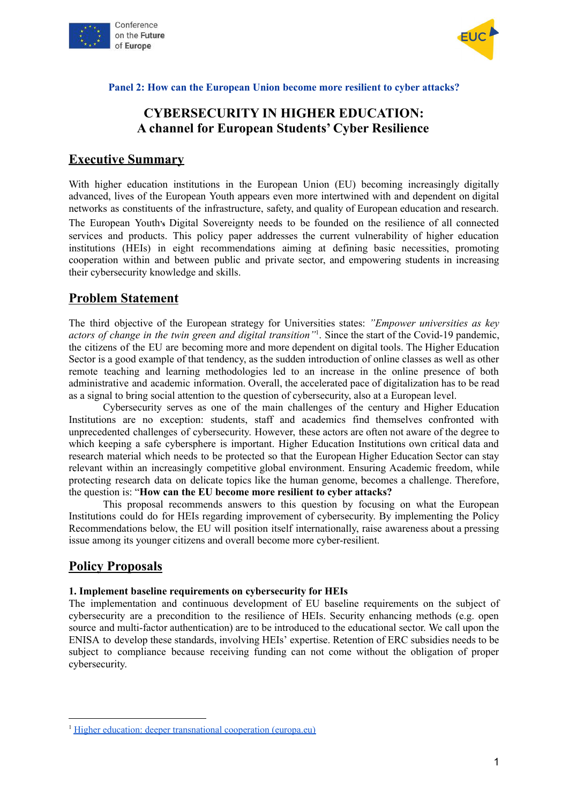



#### **Panel 2: How can the European Union become more resilient to cyber attacks?**

## **CYBERSECURITY IN HIGHER EDUCATION: A channel for European Students' Cyber Resilience**

### **Executive Summary**

With higher education institutions in the European Union (EU) becoming increasingly digitally advanced, lives of the European Youth appears even more intertwined with and dependent on digital networks as constituents of the infrastructure, safety, and quality of European education and research.

The European Youth**'s** Digital Sovereignty needs to be founded on the resilience of all connected services and products. This policy paper addresses the current vulnerability of higher education institutions (HEIs) in eight recommendations aiming at defining basic necessities, promoting cooperation within and between public and private sector, and empowering students in increasing their cybersecurity knowledge and skills.

## **Problem Statement**

The third objective of the European strategy for Universities states: *"Empower universities as key actors of change in the twin green and digital transition"* 1 . Since the start of the Covid-19 pandemic, the citizens of the EU are becoming more and more dependent on digital tools. The Higher Education Sector is a good example of that tendency, as the sudden introduction of online classes as well as other remote teaching and learning methodologies led to an increase in the online presence of both administrative and academic information. Overall, the accelerated pace of digitalization has to be read as a signal to bring social attention to the question of cybersecurity, also at a European level.

Cybersecurity serves as one of the main challenges of the century and Higher Education Institutions are no exception: students, staff and academics find themselves confronted with unprecedented challenges of cybersecurity. However, these actors are often not aware of the degree to which keeping a safe cybersphere is important. Higher Education Institutions own critical data and research material which needs to be protected so that the European Higher Education Sector can stay relevant within an increasingly competitive global environment. Ensuring Academic freedom, while protecting research data on delicate topics like the human genome, becomes a challenge. Therefore, the question is: "**How can the EU become more resilient to cyber attacks?**

This proposal recommends answers to this question by focusing on what the European Institutions could do for HEIs regarding improvement of cybersecurity. By implementing the Policy Recommendations below, the EU will position itself internationally, raise awareness about a pressing issue among its younger citizens and overall become more cyber-resilient.

## **Policy Proposals**

#### **1. Implement baseline requirements on cybersecurity for HEIs**

The implementation and continuous development of EU baseline requirements on the subject of cybersecurity are a precondition to the resilience of HEIs. Security enhancing methods (e.g. open source and multi-factor authentication) are to be introduced to the educational sector. We call upon the ENISA to develop these standards, involving HEIs' expertise. Retention of ERC subsidies needs to be subject to compliance because receiving funding can not come without the obligation of proper cybersecurity.

<sup>&</sup>lt;sup>1</sup> Higher education: deeper [transnational](https://ec.europa.eu/commission/presscorner/detail/en/ip_22_365) cooperation (europa.eu)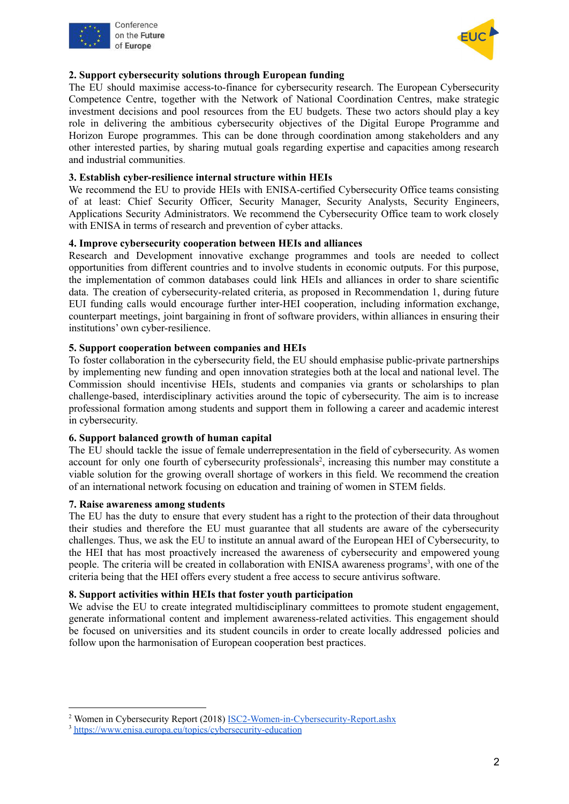



#### **2. Support cybersecurity solutions through European funding**

The EU should maximise access-to-finance for cybersecurity research. The European Cybersecurity Competence Centre, together with the Network of National Coordination Centres, make strategic investment decisions and pool resources from the EU budgets. These two actors should play a key role in delivering the ambitious cybersecurity objectives of the Digital Europe [Programme](https://digital-strategy.ec.europa.eu/en/activities/digital-programme) and [Horizon](https://ec.europa.eu/info/research-and-innovation/funding/funding-opportunities/funding-programmes-and-open-calls/horizon-europe_en) Europe programmes. This can be done through coordination among stakeholders and any other interested parties, by sharing mutual goals regarding expertise and capacities among research and industrial communities.

#### **3. Establish cyber-resilience internal structure within HEIs**

We recommend the EU to provide HEIs with ENISA-certified Cybersecurity Office teams consisting of at least: Chief Security Officer, Security Manager, Security Analysts, Security Engineers, Applications Security Administrators. We recommend the Cybersecurity Office team to work closely with ENISA in terms of research and prevention of cyber attacks.

#### **4. Improve cybersecurity cooperation between HEIs and alliances**

Research and Development innovative exchange programmes and tools are needed to collect opportunities from different countries and to involve students in economic outputs. For this purpose, the implementation of common databases could link HEIs and alliances in order to share scientific data. The creation of cybersecurity-related criteria, as proposed in Recommendation 1, during future EUI funding calls would encourage further inter-HEI cooperation, including information exchange, counterpart meetings, joint bargaining in front of software providers, within alliances in ensuring their institutions' own cyber-resilience.

#### **5. Support cooperation between companies and HEIs**

To foster collaboration in the cybersecurity field, the EU should emphasise public-private partnerships by implementing new funding and open innovation strategies both at the local and national level. The Commission should incentivise HEIs, students and companies via grants or scholarships to plan challenge-based, interdisciplinary activities around the topic of cybersecurity. The aim is to increase professional formation among students and support them in following a career and academic interest in cybersecurity.

#### **6. Support balanced growth of human capital**

The EU should tackle the issue of female underrepresentation in the field of cybersecurity. As women account for only one fourth of cybersecurity professionals 2 , increasing this number may constitute a viable solution for the growing overall shortage of workers in this field. We recommend the creation of an international network focusing on education and training of women in STEM fields.

#### **7. Raise awareness among students**

The EU has the duty to ensure that every student has a right to the protection of their data throughout their studies and therefore the EU must guarantee that all students are aware of the cybersecurity challenges. Thus, we ask the EU to institute an annual award of the European HEI of Cybersecurity, to the HEI that has most proactively increased the awareness of cybersecurity and empowered young people. The criteria will be created in collaboration with ENISA awareness programs<sup>3</sup>, with one of the criteria being that the HEI offers every student a free access to secure antivirus software.

#### **8. Support activities within HEIs that foster youth participation**

We advise the EU to create integrated multidisciplinary committees to promote student engagement, generate informational content and implement awareness-related activities. This engagement should be focused on universities and its student councils in order to create locally addressed policies and follow upon the harmonisation of European cooperation best practices.

<sup>&</sup>lt;sup>2</sup> Women in Cybersecurity Report (2018) [ISC2-Women-in-Cybersecurity-Report.ashx](https://www.isc2.org/-/media/ISC2/Research/ISC2-Women-in-Cybersecurity-Report.ashx)

<sup>3</sup> <https://www.enisa.europa.eu/topics/cybersecurity-education>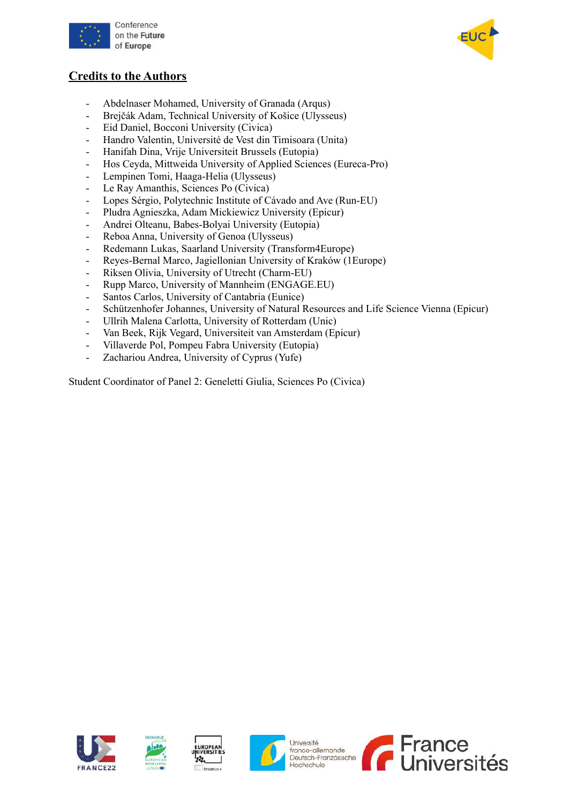



### **Credits to the Authors**

- Abdelnaser Mohamed, University of Granada (Arqus)
- Brejčák Adam, Technical University of Košice (Ulysseus)
- Eid Daniel, Bocconi University (Civica)
- Handro Valentin, Université de Vest din Timisoara (Unita)
- Hanifah Dina, Vrije Universiteit Brussels (Eutopia)
- Hos Ceyda, Mittweida University of Applied Sciences (Eureca-Pro)
- Lempinen Tomi, Haaga-Helia (Ulysseus)
- Le Ray Amanthis, Sciences Po (Civica)
- Lopes Sérgio, Polytechnic Institute of Cávado and Ave (Run-EU)
- Pludra Agnieszka, Adam Mickiewicz University (Epicur)
- Andrei Olteanu, Babes-Bolyai University (Eutopia)
- Reboa Anna, University of Genoa (Ulysseus)
- Redemann Lukas, Saarland University (Transform4Europe)
- Reyes-Bernal Marco, Jagiellonian University of Kraków (1Europe)
- Riksen Olivia, University of Utrecht (Charm-EU)
- Rupp Marco, University of Mannheim (ENGAGE.EU)
- Santos Carlos, University of Cantabria (Eunice)
- Schützenhofer Johannes, University of Natural Resources and Life Science Vienna (Epicur)
- Ullrih Malena Carlotta, University of Rotterdam (Unic)
- Van Beek, Rijk Vegard, Universiteit van Amsterdam (Epicur)
- Villaverde Pol, Pompeu Fabra University (Eutopia)
- Zachariou Andrea, University of Cyprus (Yufe)

Student Coordinator of Panel 2: Geneletti Giulia, Sciences Po (Civica)









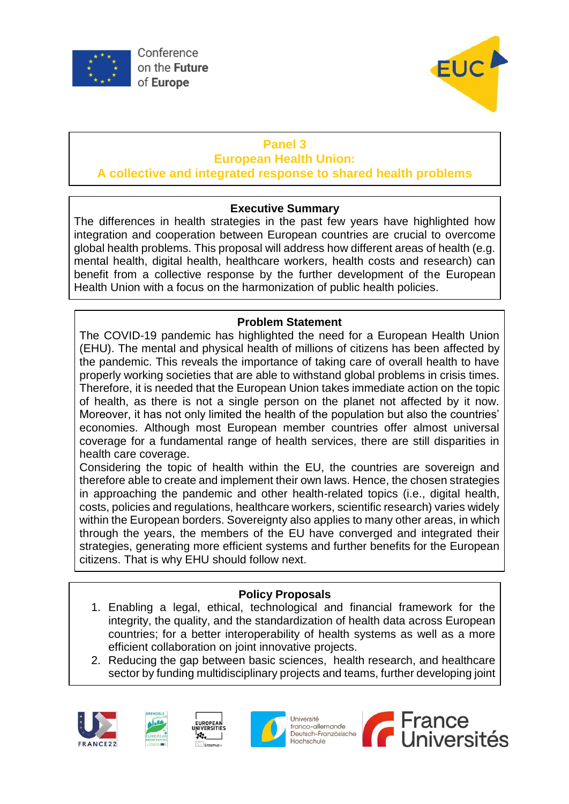



# **Panel 3**

**European Health Union:**

**A collective and integrated response to shared health problems**

## **Executive Summary**

The differences in health strategies in the past few years have highlighted how integration and cooperation between European countries are crucial to overcome global health problems. This proposal will address how different areas of health (e.g. mental health, digital health, healthcare workers, health costs and research) can benefit from a collective response by the further development of the European Health Union with a focus on the harmonization of public health policies.

## **Problem Statement**

The COVID-19 pandemic has highlighted the need for a European Health Union (EHU). The mental and physical health of millions of citizens has been affected by the pandemic. This reveals the importance of taking care of overall health to have properly working societies that are able to withstand global problems in crisis times. Therefore, it is needed that the European Union takes immediate action on the topic of health, as there is not a single person on the planet not affected by it now. Moreover, it has not only limited the health of the population but also the countries' economies. Although most European member countries offer almost universal coverage for a fundamental range of health services, there are still disparities in health care coverage.

Considering the topic of health within the EU, the countries are sovereign and therefore able to create and implement their own laws. Hence, the chosen strategies in approaching the pandemic and other health-related topics (i.e., digital health, costs, policies and regulations, healthcare workers, scientific research) varies widely within the European borders. Sovereignty also applies to many other areas, in which through the years, the members of the EU have converged and integrated their strategies, generating more efficient systems and further benefits for the European citizens. That is why EHU should follow next.

## **Policy Proposals**

- 1. Enabling a legal, ethical, technological and financial framework for the integrity, the quality, and the standardization of health data across European countries; for a better interoperability of health systems as well as a more efficient collaboration on joint innovative projects.
- 2. Reducing the gap between basic sciences, health research, and healthcare sector by funding multidisciplinary projects and teams, further developing joint









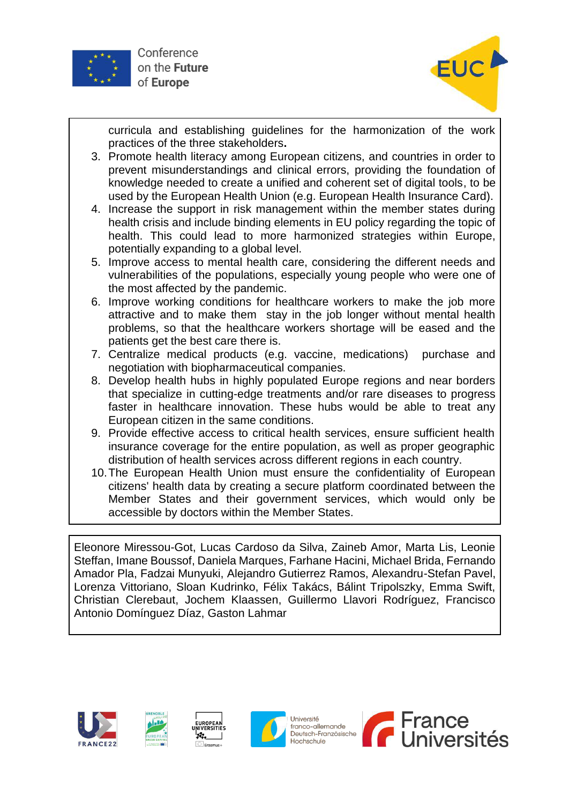



curricula and establishing guidelines for the harmonization of the work practices of the three stakeholders**.** 

- 3. Promote health literacy among European citizens, and countries in order to prevent misunderstandings and clinical errors, providing the foundation of knowledge needed to create a unified and coherent set of digital tools, to be used by the European Health Union (e.g. European Health Insurance Card).
- 4. Increase the support in risk management within the member states during health crisis and include binding elements in EU policy regarding the topic of health. This could lead to more harmonized strategies within Europe, potentially expanding to a global level.
- 5. Improve access to mental health care, considering the different needs and vulnerabilities of the populations, especially young people who were one of the most affected by the pandemic.
- 6. Improve working conditions for healthcare workers to make the job more attractive and to make them stay in the job longer without mental health problems, so that the healthcare workers shortage will be eased and the patients get the best care there is.
- 7. Centralize medical products (e.g. vaccine, medications) purchase and negotiation with biopharmaceutical companies.
- 8. Develop health hubs in highly populated Europe regions and near borders that specialize in cutting-edge treatments and/or rare diseases to progress faster in healthcare innovation. These hubs would be able to treat any European citizen in the same conditions.
- 9. Provide effective access to critical health services, ensure sufficient health insurance coverage for the entire population, as well as proper geographic distribution of health services across different regions in each country.
- 10.The European Health Union must ensure the confidentiality of European citizens' health data by creating a secure platform coordinated between the Member States and their government services, which would only be accessible by doctors within the Member States.

Eleonore Miressou-Got, Lucas Cardoso da Silva, Zaineb Amor, Marta Lis, Leonie Steffan, Imane Boussof, Daniela Marques, Farhane Hacini, Michael Brida, Fernando Amador Pla, Fadzai Munyuki, Alejandro Gutierrez Ramos, Alexandru-Stefan Pavel, Lorenza Vittoriano, Sloan Kudrinko, Félix Takács, Bálint Tripolszky, Emma Swift, Christian Clerebaut, Jochem Klaassen, Guillermo Llavori Rodríguez, Francisco Antonio Domínguez Díaz, Gaston Lahmar









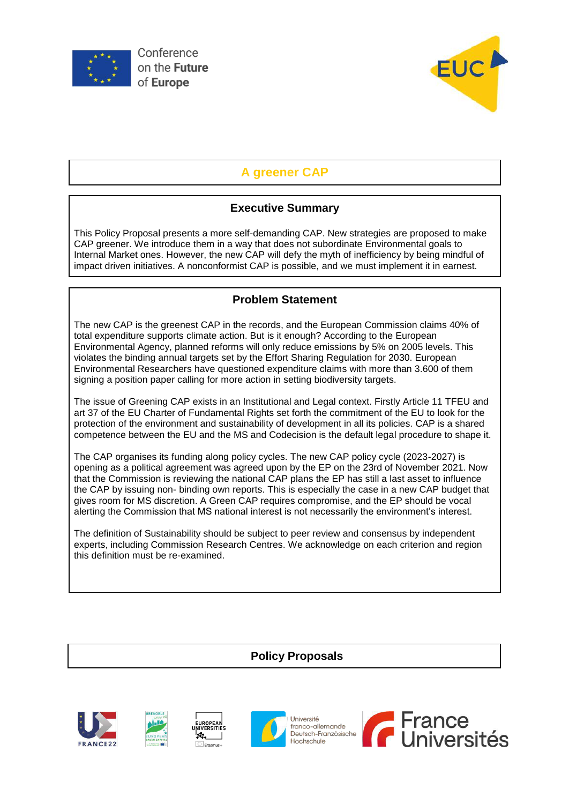



# **A greener CAP**

### **Executive Summary**

This Policy Proposal presents a more self-demanding CAP. New strategies are proposed to make CAP greener. We introduce them in a way that does not subordinate Environmental goals to Internal Market ones. However, the new CAP will defy the myth of inefficiency by being mindful of impact driven initiatives. A nonconformist CAP is possible, and we must implement it in earnest.

### **Problem Statement**

The new CAP is the greenest CAP in the records, and the European Commission claims 40% of total expenditure supports climate action. But is it enough? According to the European Environmental Agency, planned reforms will only reduce emissions by 5% on 2005 levels. This violates the binding annual targets set by the Effort Sharing Regulation for 2030. European Environmental Researchers have questioned expenditure claims with more than 3.600 of them signing a position paper calling for more action in setting biodiversity targets.

The issue of Greening CAP exists in an Institutional and Legal context. Firstly Article 11 TFEU and art 37 of the EU Charter of Fundamental Rights set forth the commitment of the EU to look for the protection of the environment and sustainability of development in all its policies. CAP is a shared competence between the EU and the MS and Codecision is the default legal procedure to shape it.

The CAP organises its funding along policy cycles. The new CAP policy cycle (2023-2027) is opening as a political agreement was agreed upon by the EP on the 23rd of November 2021. Now that the Commission is reviewing the national CAP plans the EP has still a last asset to influence the CAP by issuing non- binding own reports. This is especially the case in a new CAP budget that gives room for MS discretion. A Green CAP requires compromise, and the EP should be vocal alerting the Commission that MS national interest is not necessarily the environment's interest.

The definition of Sustainability should be subject to peer review and consensus by independent experts, including Commission Research Centres. We acknowledge on each criterion and region this definition must be re-examined.

## **Policy Proposals**











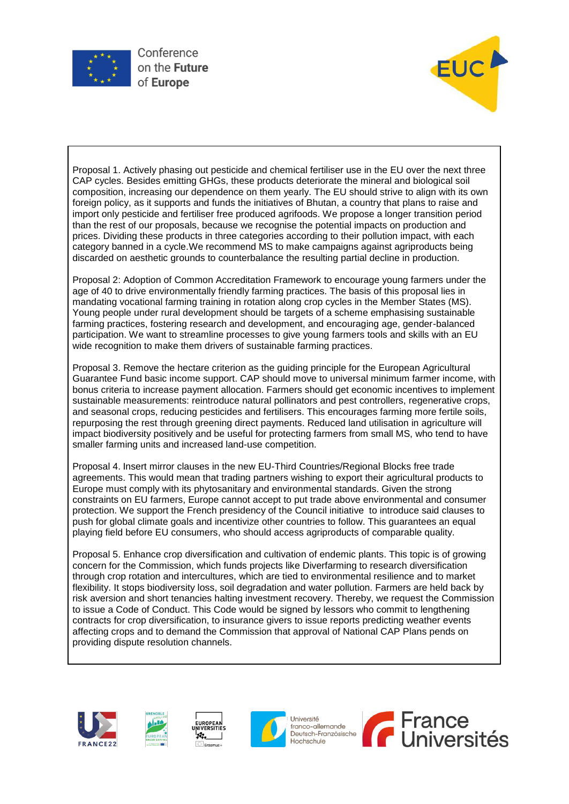



Proposal 1. Actively phasing out pesticide and chemical fertiliser use in the EU over the next three CAP cycles. Besides emitting GHGs, these products deteriorate the mineral and biological soil composition, increasing our dependence on them yearly. The EU should strive to align with its own foreign policy, as it supports and funds the initiatives of Bhutan, a country that plans to raise and import only pesticide and fertiliser free produced agrifoods. We propose a longer transition period than the rest of our proposals, because we recognise the potential impacts on production and prices. Dividing these products in three categories according to their pollution impact, with each category banned in a cycle.We recommend MS to make campaigns against agriproducts being discarded on aesthetic grounds to counterbalance the resulting partial decline in production.

Proposal 2: Adoption of Common Accreditation Framework to encourage young farmers under the age of 40 to drive environmentally friendly farming practices. The basis of this proposal lies in mandating vocational farming training in rotation along crop cycles in the Member States (MS). Young people under rural development should be targets of a scheme emphasising sustainable farming practices, fostering research and development, and encouraging age, gender-balanced participation. We want to streamline processes to give young farmers tools and skills with an EU wide recognition to make them drivers of sustainable farming practices.

Proposal 3. Remove the hectare criterion as the guiding principle for the European Agricultural Guarantee Fund basic income support. CAP should move to universal minimum farmer income, with bonus criteria to increase payment allocation. Farmers should get economic incentives to implement sustainable measurements: reintroduce natural pollinators and pest controllers, regenerative crops, and seasonal crops, reducing pesticides and fertilisers. This encourages farming more fertile soils, repurposing the rest through greening direct payments. Reduced land utilisation in agriculture will impact biodiversity positively and be useful for protecting farmers from small MS, who tend to have smaller farming units and increased land-use competition.

Proposal 4. Insert mirror clauses in the new EU-Third Countries/Regional Blocks free trade agreements. This would mean that trading partners wishing to export their agricultural products to Europe must comply with its phytosanitary and environmental standards. Given the strong constraints on EU farmers, Europe cannot accept to put trade above environmental and consumer protection. We support the French presidency of the Council initiative to introduce said clauses to push for global climate goals and incentivize other countries to follow. This guarantees an equal playing field before EU consumers, who should access agriproducts of comparable quality.

Proposal 5. Enhance crop diversification and cultivation of endemic plants. This topic is of growing concern for the Commission, which funds projects like Diverfarming to research diversification through crop rotation and intercultures, which are tied to environmental resilience and to market flexibility. It stops biodiversity loss, soil degradation and water pollution. Farmers are held back by risk aversion and short tenancies halting investment recovery. Thereby, we request the Commission to issue a Code of Conduct. This Code would be signed by lessors who commit to lengthening contracts for crop diversification, to insurance givers to issue reports predicting weather events affecting crops and to demand the Commission that approval of National CAP Plans pends on providing dispute resolution channels.









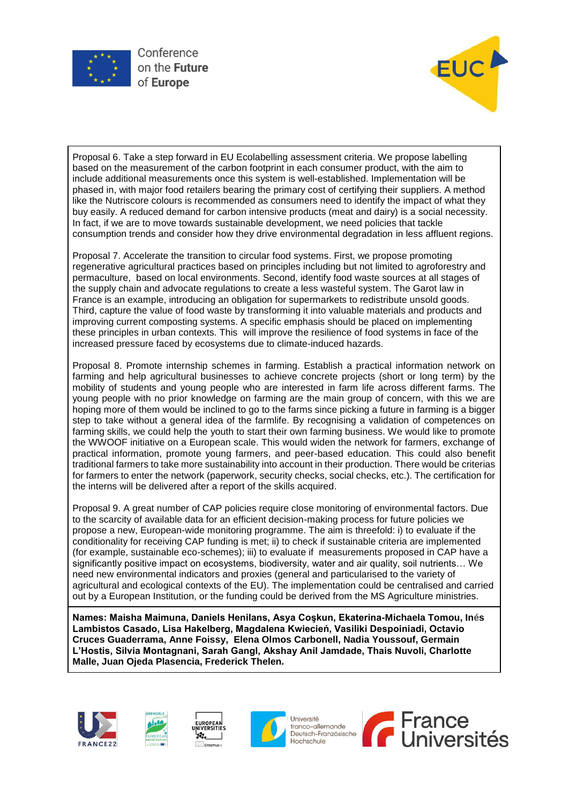



Proposal 6. Take a step forward in EU Ecolabelling assessment criteria. We propose labelling based on the measurement of the carbon footprint in each consumer product, with the aim to include additional measurements once this system is well-established. Implementation will be phased in, with major food retailers bearing the primary cost of certifying their suppliers. A method like the Nutriscore colours is recommended as consumers need to identify the impact of what they buy easily. A reduced demand for carbon intensive products (meat and dairy) is a social necessity. In fact, if we are to move towards sustainable development, we need policies that tackle consumption trends and consider how they drive environmental degradation in less affluent regions.

Proposal 7. Accelerate the transition to circular food systems. First, we propose promoting regenerative agricultural practices based on principles including but not limited to agroforestry and permaculture, based on local environments. Second, identify food waste sources at all stages of the supply chain and advocate regulations to create a less wasteful system. The Garot law in France is an example, introducing an obligation for supermarkets to redistribute unsold goods. Third, capture the value of food waste by transforming it into valuable materials and products and improving current composting systems. A specific emphasis should be placed on implementing these principles in urban contexts. This will improve the resilience of food systems in face of the increased pressure faced by ecosystems due to climate-induced hazards.

Proposal 8. Promote internship schemes in farming. Establish a practical information network on farming and help agricultural businesses to achieve concrete projects (short or long term) by the mobility of students and young people who are interested in farm life across different farms. The young people with no prior knowledge on farming are the main group of concern, with this we are hoping more of them would be inclined to go to the farms since picking a future in farming is a bigger step to take without a general idea of the farmlife. By recognising a validation of competences on farming skills, we could help the youth to start their own farming business. We would like to promote the WWOOF initiative on a European scale. This would widen the network for farmers, exchange of practical information, promote young farmers, and peer-based education. This could also benefit traditional farmers to take more sustainability into account in their production. There would be criterias for farmers to enter the network (paperwork, security checks, social checks, etc.). The certification for the interns will be delivered after a report of the skills acquired.

Proposal 9. A great number of CAP policies require close monitoring of environmental factors. Due to the scarcity of available data for an efficient decision-making process for future policies we propose a new, European-wide monitoring programme. The aim is threefold: i) to evaluate if the conditionality for receiving CAP funding is met; ii) to check if sustainable criteria are implemented (for example, sustainable eco-schemes); iii) to evaluate if measurements proposed in CAP have a significantly positive impact on ecosystems, biodiversity, water and air quality, soil nutrients… We need new environmental indicators and proxies (general and particularised to the variety of agricultural and ecological contexts of the EU). The implementation could be centralised and carried out by a European Institution, or the funding could be derived from the MS Agriculture ministries.

**Names: Maisha Maimuna, Daniels Henilans, Asya Coşkun, Ekaterina-Michaela Tomou, Inés Lambistos Casado, Lisa Hakelberg, Magdalena Kwiecień, Vasiliki Despoiniadi, Octavio Cruces Guaderrama, Anne Foissy, Elena Olmos Carbonell, Nadia Youssouf, Germain L'Hostis, Silvia Montagnani, Sarah Gangl, Akshay Anil Jamdade, Thais Nuvoli, Charlotte Malle, Juan Ojeda Plasencia, Frederick Thelen.**









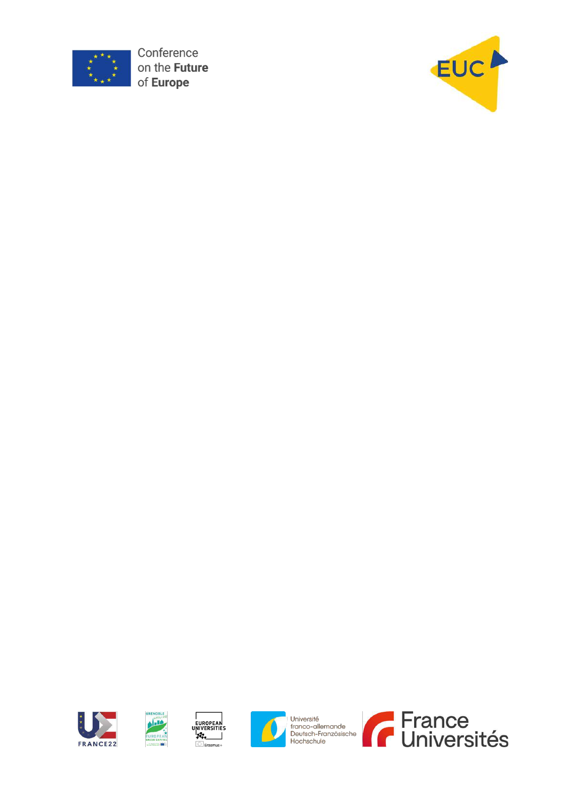













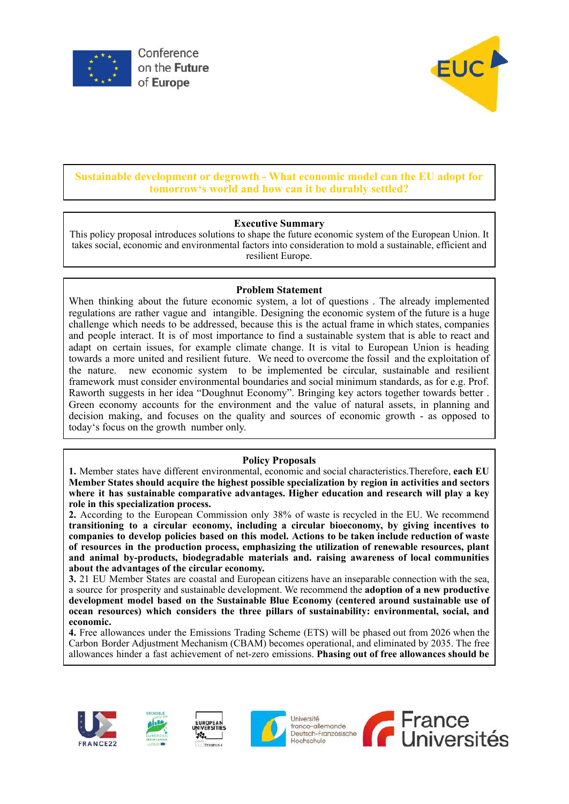



### **Sustainable development or degrowth - What economic model can the EU adopt for tomorrow's world and how can it be durably settled?**

#### **Executive Summary**

This policy proposal introduces solutions to shape the future economic system of the European Union. It takes social, economic and environmental factors into consideration to mold a sustainable, efficient and resilient Europe.

#### **Problem Statement**

When thinking about the future economic system, a lot of questions . The already implemented regulations are rather vague and intangible. Designing the economic system of the future is a huge challenge which needs to be addressed, because this is the actual frame in which states, companies and people interact. It is of most importance to find a sustainable system that is able to react and adapt on certain issues, for example climate change. It is vital to European Union is heading towards a more united and resilient future. We need to overcome the fossil and the exploitation of the nature. new economic system to be implemented be circular, sustainable and resilient framework must consider environmental boundaries and social minimum standards, as for e.g. Prof. Raworth suggests in her idea "Doughnut Economy". Bringing key actors together towards better . Green economy accounts for the environment and the value of natural assets, in planning and decision making, and focuses on the quality and sources of economic growth - as opposed to today's focus on the growth number only.

#### **Policy Proposals**

**1.** Member states have different environmental, economic and social characteristics.Therefore, **each EU Member States should acquire the highest possible specialization by region in activities and sectors where it has sustainable comparative advantages. Higher education and research will play a key role in this specialization process.**

**2.** According to the European Commission only 38% of waste is recycled in the EU. We recommend **transitioning to a circular economy, including a circular bioeconomy, by giving incentives to companies to develop policies based on this model. Actions to be taken include reduction of waste of resources in the production process, emphasizing the utilization of renewable resources, plant and animal by-products, biodegradable materials and. raising awareness of local communities about the advantages of the circular economy.**

**3.** 21 EU Member States are coastal and European citizens have an inseparable connection with the sea, a source for prosperity and sustainable development. We recommend the **adoption of a new productive development model based on the Sustainable Blue Economy (centered around sustainable use of ocean resources) which considers the three pillars of sustainability: environmental, social, and economic.**

**4.** Free allowances under the Emissions Trading Scheme (ETS) will be phased out from 2026 when the Carbon Border Adjustment Mechanism (CBAM) becomes operational, and eliminated by 2035. The free allowances hinder a fast achievement of net-zero emissions. **Phasing out of free allowances should be**









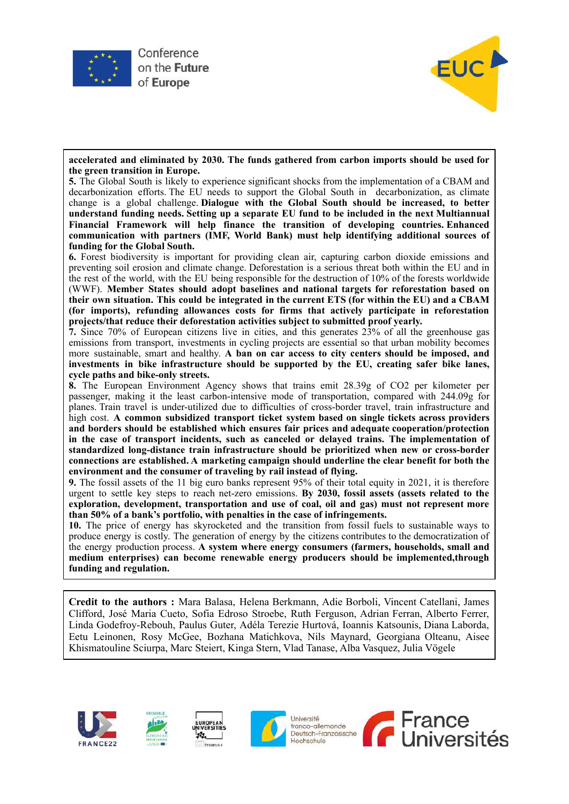



#### **accelerated and eliminated by 2030. The funds gathered from carbon imports should be used for the green transition in Europe.**

**5.** The Global South is likely to experience significant shocks from the implementation of a CBAM and decarbonization efforts. The EU needs to support the Global South in decarbonization, as climate change is a global challenge. **Dialogue with the Global South should be increased, to better understand funding needs. Setting up a separate EU fund to be included in the next Multiannual Financial Framework will help finance the transition of developing countries. Enhanced communication with partners (IMF, World Bank) must help identifying additional sources of funding for the Global South.**

**6.** Forest biodiversity is important for providing clean air, capturing carbon dioxide emissions and preventing soil erosion and climate change. Deforestation is a serious threat both within the EU and in the rest of the world, with the EU being responsible for the destruction of 10% of the forests worldwide (WWF). **Member States should adopt baselines and national targets for reforestation based on their own situation. This could be integrated in the current ETS (for within the EU) and a CBAM (for imports), refunding allowances costs for firms that actively participate in reforestation projects/that reduce their deforestation activities subject to submitted proof yearly.**

**7.** Since 70% of European citizens live in cities, and this generates 23% of all the greenhouse gas emissions from transport, investments in cycling projects are essential so that urban mobility becomes more sustainable, smart and healthy. **A ban on car access to city centers should be imposed, and investments in bike infrastructure should be supported by the EU, creating safer bike lanes, cycle paths and bike-only streets.**

**8.** The European Environment Agency shows that trains emit 28.39g of CO2 per kilometer per passenger, making it the least carbon-intensive mode of transportation, compared with 244.09g for planes. Train travel is under-utilized due to difficulties of cross-border travel, train infrastructure and high cost. **A common subsidized transport ticket system based on single tickets across providers and borders should be established which ensures fair prices and adequate cooperation/protection in the case of transport incidents, such as canceled or delayed trains. The implementation of standardized long-distance train infrastructure should be prioritized when new or cross-border connections are established. A marketing campaign should underline the clear benefit for both the environment and the consumer of traveling by rail instead of flying.**

**9.** The fossil assets of the 11 big euro banks represent 95% of their total equity in 2021, it is therefore urgent to settle key steps to reach net-zero emissions. **By 2030, fossil assets (assets related to the exploration, development, transportation and use of coal, oil and gas) must not represent more than 50% of a bank's portfolio, with penalties in the case of infringements.**

**10.** The price of energy has skyrocketed and the transition from fossil fuels to sustainable ways to produce energy is costly. The generation of energy by the citizens contributes to the democratization of the energy production process. **A system where energy consumers (farmers, households, small and medium enterprises) can become renewable energy producers should be implemented,through funding and regulation.**

**Credit to the authors :** Mara Balasa, Helena Berkmann, Adie Borboli, Vincent Catellani, James Clifford, José Maria Cueto, Sofia Edroso Stroebe, Ruth Ferguson, Adrian Ferran, Alberto Ferrer, Linda Godefroy-Rebouh, Paulus Guter, Adéla Terezie Hurtová, Ioannis Katsounis, Diana Laborda, Eetu Leinonen, Rosy McGee, Bozhana Matichkova, Nils Maynard, Georgiana Olteanu, Aisee Khismatouline Sciurpa, Marc Steiert, Kinga Stern, Vlad Tanase, Alba Vasquez, Julia Vögele









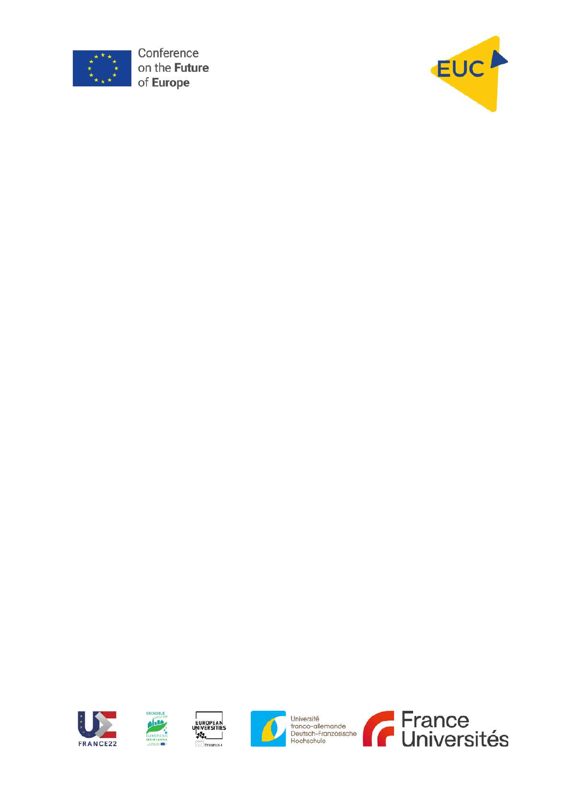















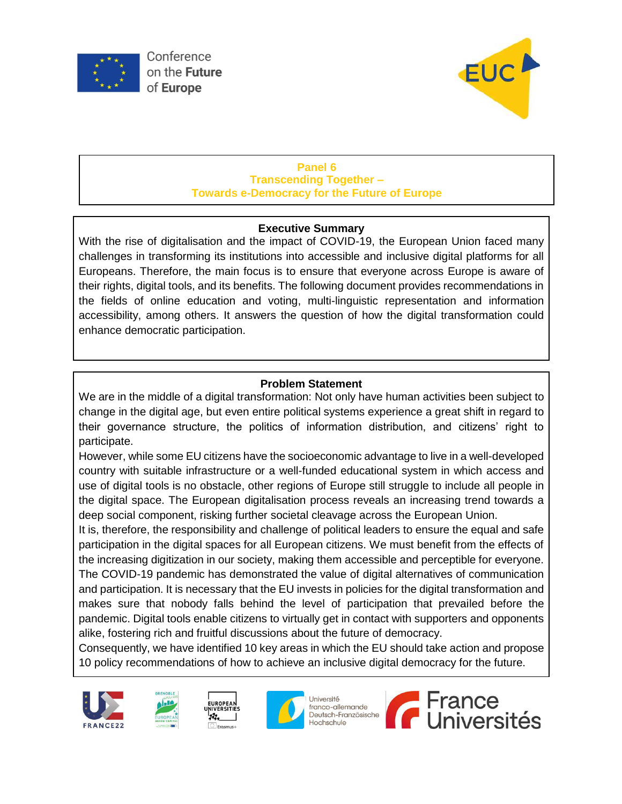



#### **Panel 6 Transcending Together – Towards e-Democracy for the Future of Europe**

### **Executive Summary**

With the rise of digitalisation and the impact of COVID-19, the European Union faced many challenges in transforming its institutions into accessible and inclusive digital platforms for all Europeans. Therefore, the main focus is to ensure that everyone across Europe is aware of their rights, digital tools, and its benefits. The following document provides recommendations in the fields of online education and voting, multi-linguistic representation and information accessibility, among others. It answers the question of how the digital transformation could enhance democratic participation.

### **Problem Statement**

We are in the middle of a digital transformation: Not only have human activities been subject to change in the digital age, but even entire political systems experience a great shift in regard to their governance structure, the politics of information distribution, and citizens' right to participate.

However, while some EU citizens have the socioeconomic advantage to live in a well-developed country with suitable infrastructure or a well-funded educational system in which access and use of digital tools is no obstacle, other regions of Europe still struggle to include all people in the digital space. The European digitalisation process reveals an increasing trend towards a deep social component, risking further societal cleavage across the European Union.

It is, therefore, the responsibility and challenge of political leaders to ensure the equal and safe participation in the digital spaces for all European citizens. We must benefit from the effects of the increasing digitization in our society, making them accessible and perceptible for everyone. The COVID-19 pandemic has demonstrated the value of digital alternatives of communication and participation. It is necessary that the EU invests in policies for the digital transformation and makes sure that nobody falls behind the level of participation that prevailed before the pandemic. Digital tools enable citizens to virtually get in contact with supporters and opponents alike, fostering rich and fruitful discussions about the future of democracy.

Consequently, we have identified 10 key areas in which the EU should take action and propose 10 policy recommendations of how to achieve an inclusive digital democracy for the future.





 $\hat{m}_i$ 



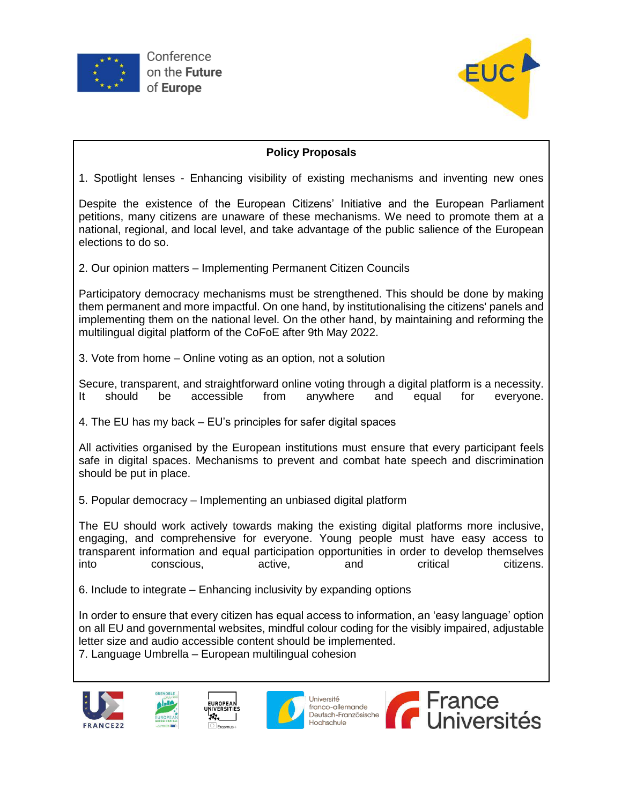



### **Policy Proposals**

1. Spotlight lenses - Enhancing visibility of existing mechanisms and inventing new ones

Despite the existence of the European Citizens' Initiative and the European Parliament petitions, many citizens are unaware of these mechanisms. We need to promote them at a national, regional, and local level, and take advantage of the public salience of the European elections to do so.

2. Our opinion matters – Implementing Permanent Citizen Councils

Participatory democracy mechanisms must be strengthened. This should be done by making them permanent and more impactful. On one hand, by institutionalising the citizens' panels and implementing them on the national level. On the other hand, by maintaining and reforming the multilingual digital platform of the CoFoE after 9th May 2022.

3. Vote from home – Online voting as an option, not a solution

Secure, transparent, and straightforward online voting through a digital platform is a necessity. It should be accessible from anywhere and equal for everyone.

4. The EU has my back – EU's principles for safer digital spaces

All activities organised by the European institutions must ensure that every participant feels safe in digital spaces. Mechanisms to prevent and combat hate speech and discrimination should be put in place.

5. Popular democracy – Implementing an unbiased digital platform

The EU should work actively towards making the existing digital platforms more inclusive, engaging, and comprehensive for everyone. Young people must have easy access to transparent information and equal participation opportunities in order to develop themselves into conscious, active, and critical citizens.

6. Include to integrate – Enhancing inclusivity by expanding options

In order to ensure that every citizen has equal access to information, an 'easy language' option on all EU and governmental websites, mindful colour coding for the visibly impaired, adjustable letter size and audio accessible content should be implemented.

7. Language Umbrella – European multilingual cohesion







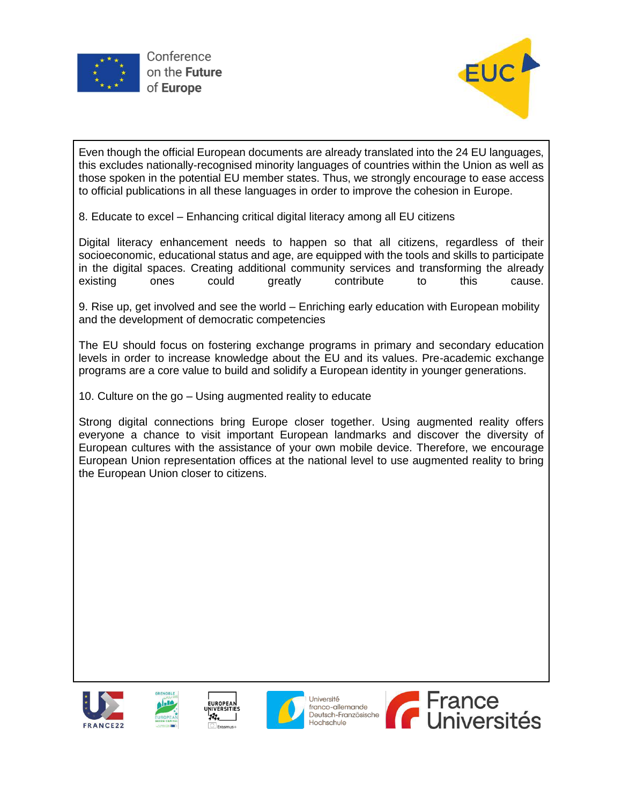



Even though the official European documents are already translated into the 24 EU languages, this excludes nationally-recognised minority languages of countries within the Union as well as those spoken in the potential EU member states. Thus, we strongly encourage to ease access to official publications in all these languages in order to improve the cohesion in Europe.

8. Educate to excel – Enhancing critical digital literacy among all EU citizens

Digital literacy enhancement needs to happen so that all citizens, regardless of their socioeconomic, educational status and age, are equipped with the tools and skills to participate in the digital spaces. Creating additional community services and transforming the already existing ones could greatly contribute to this cause.

9. Rise up, get involved and see the world – Enriching early education with European mobility and the development of democratic competencies

The EU should focus on fostering exchange programs in primary and secondary education levels in order to increase knowledge about the EU and its values. Pre-academic exchange programs are a core value to build and solidify a European identity in younger generations.

10. Culture on the go – Using augmented reality to educate

Strong digital connections bring Europe closer together. Using augmented reality offers everyone a chance to visit important European landmarks and discover the diversity of European cultures with the assistance of your own mobile device. Therefore, we encourage European Union representation offices at the national level to use augmented reality to bring the European Union closer to citizens.







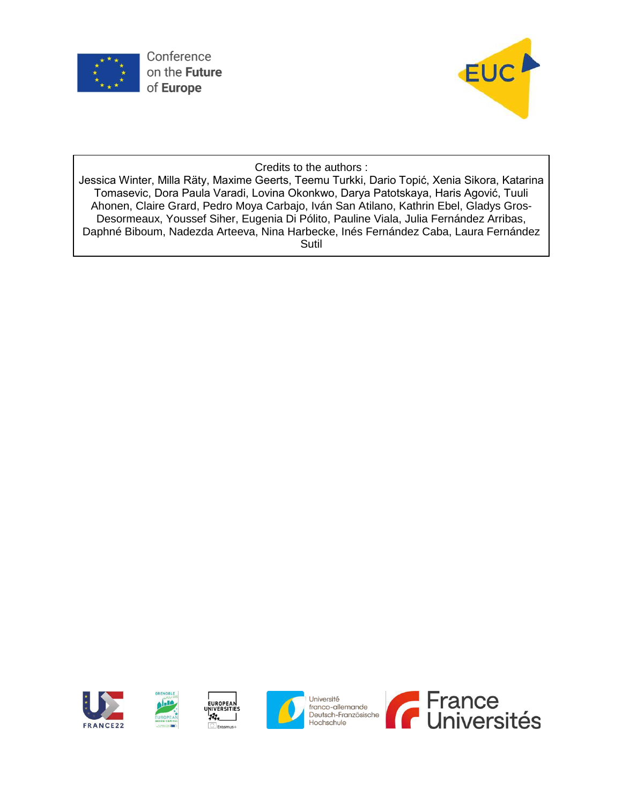

**EUC** 

Credits to the authors :

Jessica Winter, Milla Räty, Maxime Geerts, Teemu Turkki, Dario Topić, Xenia Sikora, Katarina Tomasevic, Dora Paula Varadi, Lovina Okonkwo, Darya Patotskaya, Haris Agović, Tuuli Ahonen, Claire Grard, Pedro Moya Carbajo, Iván San Atilano, Kathrin Ebel, Gladys Gros-Desormeaux, Youssef Siher, Eugenia Di Pólito, Pauline Viala, Julia Fernández Arribas, Daphné Biboum, Nadezda Arteeva, Nina Harbecke, Inés Fernández Caba, Laura Fernández **Sutil** 

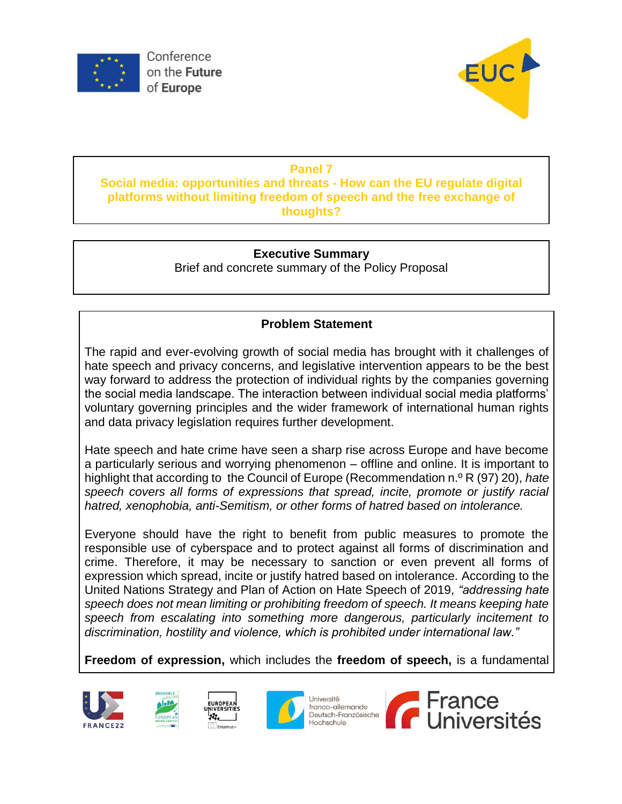



### **Panel 7 Social media: opportunities and threats - How can the EU regulate digital platforms without limiting freedom of speech and the free exchange of thoughts?**

### **Executive Summary**

Brief and concrete summary of the Policy Proposal

### **Problem Statement**

The rapid and ever-evolving growth of social media has brought with it challenges of hate speech and privacy concerns, and legislative intervention appears to be the best way forward to address the protection of individual rights by the companies governing the social media landscape. The interaction between individual social media platforms' voluntary governing principles and the wider framework of international human rights and data privacy legislation requires further development.

Hate speech and hate crime have seen a sharp rise across Europe and have become a particularly serious and worrying phenomenon – offline and online. It is important to highlight that according to the Council of Europe (Recommendation n.º R (97) 20), *hate speech covers all forms of expressions that spread, incite, promote or justify racial hatred, xenophobia, anti-Semitism, or other forms of hatred based on intolerance.* 

Everyone should have the right to benefit from public measures to promote the responsible use of cyberspace and to protect against all forms of discrimination and crime. Therefore, it may be necessary to sanction or even prevent all forms of expression which spread, incite or justify hatred based on intolerance. According to the United Nations Strategy and Plan of Action on Hate Speech of 2019, *"addressing hate speech does not mean limiting or prohibiting freedom of speech. It means keeping hate speech from escalating into something more dangerous, particularly incitement to discrimination, hostility and violence, which is prohibited under international law."* 

**Freedom of expression,** which includes the **freedom of speech,** is a fundamental







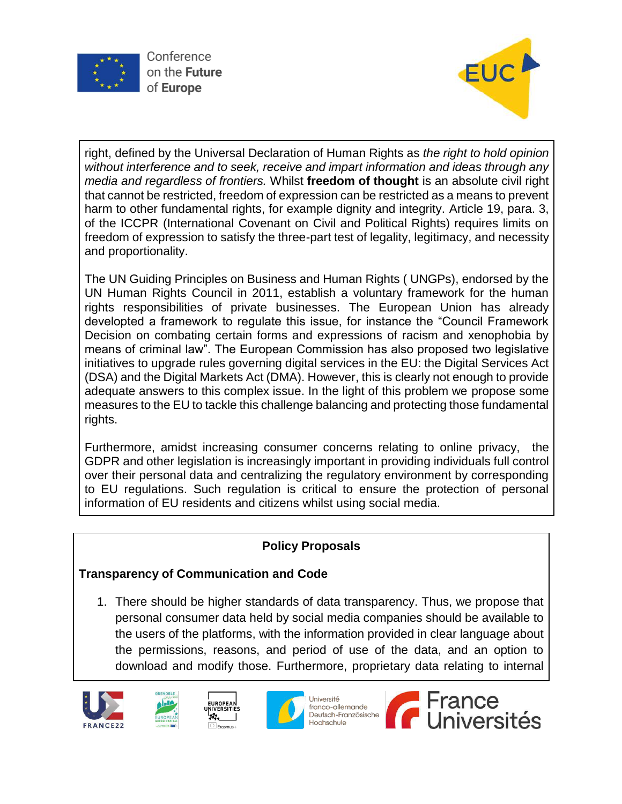



right, defined by the Universal Declaration of Human Rights as *the right to hold opinion without interference and to seek, receive and impart information and ideas through any media and regardless of frontiers.* Whilst **freedom of thought** is an absolute civil right that cannot be restricted, freedom of expression can be restricted as a means to prevent harm to other fundamental rights, for example dignity and integrity. Article 19, para. 3, of the ICCPR (International Covenant on Civil and Political Rights) requires limits on freedom of expression to satisfy the three-part test of legality, legitimacy, and necessity and proportionality.

The UN Guiding Principles on Business and Human Rights ( UNGPs), endorsed by the UN Human Rights Council in 2011, establish a voluntary framework for the human rights responsibilities of private businesses. The European Union has already developted a framework to regulate this issue, for instance the "Council Framework Decision on combating certain forms and expressions of racism and xenophobia by means of criminal law". The European Commission has also proposed two legislative initiatives to upgrade rules governing digital services in the EU: the Digital Services Act (DSA) and the Digital Markets Act (DMA). However, this is clearly not enough to provide adequate answers to this complex issue. In the light of this problem we propose some measures to the EU to tackle this challenge balancing and protecting those fundamental rights.

Furthermore, amidst increasing consumer concerns relating to online privacy, the GDPR and other legislation is increasingly important in providing individuals full control over their personal data and centralizing the regulatory environment by corresponding to EU regulations. Such regulation is critical to ensure the protection of personal information of EU residents and citizens whilst using social media.

### **Policy Proposals**

## **Transparency of Communication and Code**

1. There should be higher standards of data transparency. Thus, we propose that personal consumer data held by social media companies should be available to the users of the platforms, with the information provided in clear language about the permissions, reasons, and period of use of the data, and an option to download and modify those. Furthermore, proprietary data relating to internal







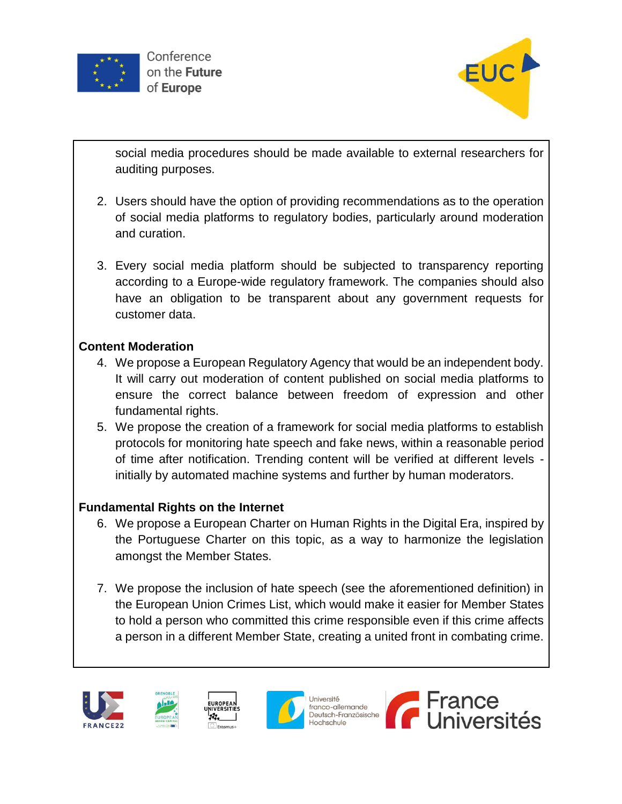



social media procedures should be made available to external researchers for auditing purposes.

- 2. Users should have the option of providing recommendations as to the operation of social media platforms to regulatory bodies, particularly around moderation and curation.
- 3. Every social media platform should be subjected to transparency reporting according to a Europe-wide regulatory framework. The companies should also have an obligation to be transparent about any government requests for customer data.

### **Content Moderation**

- 4. We propose a European Regulatory Agency that would be an independent body. It will carry out moderation of content published on social media platforms to ensure the correct balance between freedom of expression and other fundamental rights.
- 5. We propose the creation of a framework for social media platforms to establish protocols for monitoring hate speech and fake news, within a reasonable period of time after notification. Trending content will be verified at different levels initially by automated machine systems and further by human moderators.

## **Fundamental Rights on the Internet**

- 6. We propose a European Charter on Human Rights in the Digital Era, inspired by the Portuguese Charter on this topic, as a way to harmonize the legislation amongst the Member States.
- 7. We propose the inclusion of hate speech (see the aforementioned definition) in the European Union Crimes List, which would make it easier for Member States to hold a person who committed this crime responsible even if this crime affects a person in a different Member State, creating a united front in combating crime.

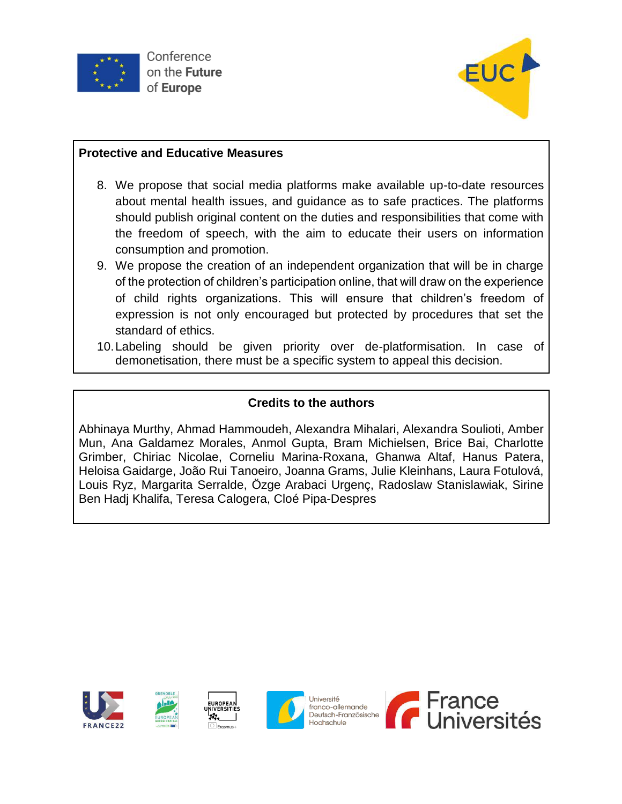



### **Protective and Educative Measures**

- 8. We propose that social media platforms make available up-to-date resources about mental health issues, and guidance as to safe practices. The platforms should publish original content on the duties and responsibilities that come with the freedom of speech, with the aim to educate their users on information consumption and promotion.
- 9. We propose the creation of an independent organization that will be in charge of the protection of children's participation online, that will draw on the experience of child rights organizations. This will ensure that children's freedom of expression is not only encouraged but protected by procedures that set the standard of ethics.
- 10.Labeling should be given priority over de-platformisation. In case of demonetisation, there must be a specific system to appeal this decision.

### **Credits to the authors**

Abhinaya Murthy, Ahmad Hammoudeh, Alexandra Mihalari, Alexandra Soulioti, Amber Mun, Ana Galdamez Morales, Anmol Gupta, Bram Michielsen, Brice Bai, Charlotte Grimber, Chiriac Nicolae, Corneliu Marina-Roxana, Ghanwa Altaf, Hanus Patera, Heloisa Gaidarge, João Rui Tanoeiro, Joanna Grams, Julie Kleinhans, Laura Fotulová, Louis Ryz, Margarita Serralde, Özge Arabaci Urgenç, Radoslaw Stanislawiak, Sirine Ben Hadj Khalifa, Teresa Calogera, Cloé Pipa-Despres

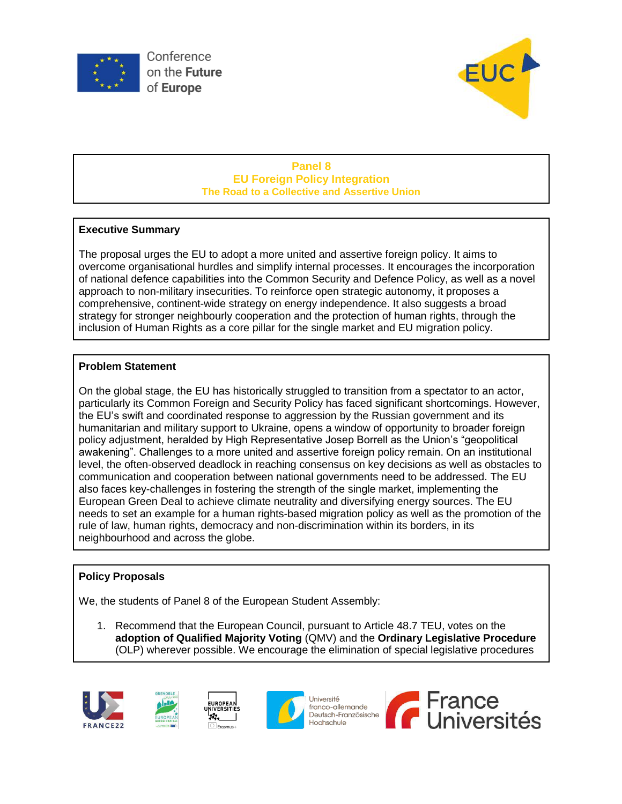



**Panel 8 EU Foreign Policy Integration The Road to a Collective and Assertive Union** 

#### **Executive Summary**

The proposal urges the EU to adopt a more united and assertive foreign policy. It aims to overcome organisational hurdles and simplify internal processes. It encourages the incorporation of national defence capabilities into the Common Security and Defence Policy, as well as a novel approach to non-military insecurities. To reinforce open strategic autonomy, it proposes a comprehensive, continent-wide strategy on energy independence. It also suggests a broad strategy for stronger neighbourly cooperation and the protection of human rights, through the inclusion of Human Rights as a core pillar for the single market and EU migration policy.

#### **Problem Statement**

On the global stage, the EU has historically struggled to transition from a spectator to an actor, particularly its Common Foreign and Security Policy has faced significant shortcomings. However, the EU's swift and coordinated response to aggression by the Russian government and its humanitarian and military support to Ukraine, opens a window of opportunity to broader foreign policy adjustment, heralded by High Representative Josep Borrell as the Union's "geopolitical awakening". Challenges to a more united and assertive foreign policy remain. On an institutional level, the often-observed deadlock in reaching consensus on key decisions as well as obstacles to communication and cooperation between national governments need to be addressed. The EU also faces key-challenges in fostering the strength of the single market, implementing the European Green Deal to achieve climate neutrality and diversifying energy sources. The EU needs to set an example for a human rights-based migration policy as well as the promotion of the rule of law, human rights, democracy and non-discrimination within its borders, in its neighbourhood and across the globe.

#### **Policy Proposals**

We, the students of Panel 8 of the European Student Assembly:

1. Recommend that the European Council, pursuant to Article 48.7 TEU, votes on the **adoption of Qualified Majority Voting** (QMV) and the **Ordinary Legislative Procedure**  (OLP) wherever possible. We encourage the elimination of special legislative procedures

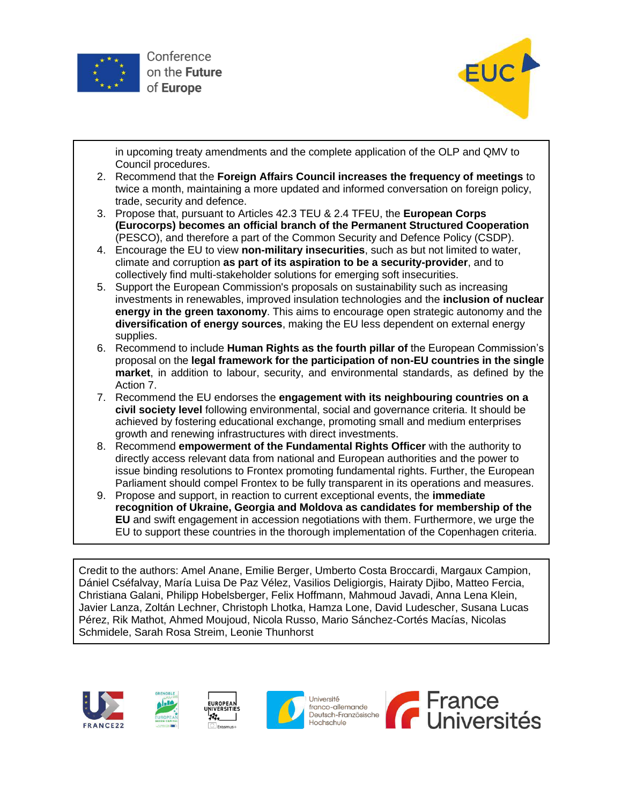



in upcoming treaty amendments and the complete application of the OLP and QMV to Council procedures.

- 2. Recommend that the **Foreign Affairs Council increases the frequency of meetings** to twice a month, maintaining a more updated and informed conversation on foreign policy, trade, security and defence.
- 3. Propose that, pursuant to Articles 42.3 TEU & 2.4 TFEU, the **European Corps (Eurocorps) becomes an official branch of the Permanent Structured Cooperation** (PESCO), and therefore a part of the Common Security and Defence Policy (CSDP).
- 4. Encourage the EU to view **non-military insecurities**, such as but not limited to water, climate and corruption **as part of its aspiration to be a security-provider**, and to collectively find multi-stakeholder solutions for emerging soft insecurities.
- 5. Support the European Commission's proposals on sustainability such as increasing investments in renewables, improved insulation technologies and the **inclusion of nuclear energy in the green taxonomy**. This aims to encourage open strategic autonomy and the **diversification of energy sources**, making the EU less dependent on external energy supplies.
- 6. Recommend to include **Human Rights as the fourth pillar of** the European Commission's proposal on the **legal framework for the participation of non-EU countries in the single market**, in addition to labour, security, and environmental standards, as defined by the Action 7.
- 7. Recommend the EU endorses the **engagement with its neighbouring countries on a civil society level** following environmental, social and governance criteria. It should be achieved by fostering educational exchange, promoting small and medium enterprises growth and renewing infrastructures with direct investments.
- 8. Recommend **empowerment of the Fundamental Rights Officer** with the authority to directly access relevant data from national and European authorities and the power to issue binding resolutions to Frontex promoting fundamental rights. Further, the European Parliament should compel Frontex to be fully transparent in its operations and measures.
- 9. Propose and support, in reaction to current exceptional events, the **immediate recognition of Ukraine, Georgia and Moldova as candidates for membership of the EU** and swift engagement in accession negotiations with them. Furthermore, we urge the EU to support these countries in the thorough implementation of the Copenhagen criteria.

Credit to the authors: Amel Anane, Emilie Berger, Umberto Costa Broccardi, Margaux Campion, Dániel Cséfalvay, María Luisa De Paz Vélez, Vasilios Deligiorgis, Hairaty Djibo, Matteo Fercia, Christiana Galani, Philipp Hobelsberger, Felix Hoffmann, Mahmoud Javadi, Anna Lena Klein, Javier Lanza, Zoltán Lechner, Christoph Lhotka, Hamza Lone, David Ludescher, Susana Lucas Pérez, Rik Mathot, Ahmed Moujoud, Nicola Russo, Mario Sánchez-Cortés Macías, Nicolas Schmidele, Sarah Rosa Streim, Leonie Thunhorst

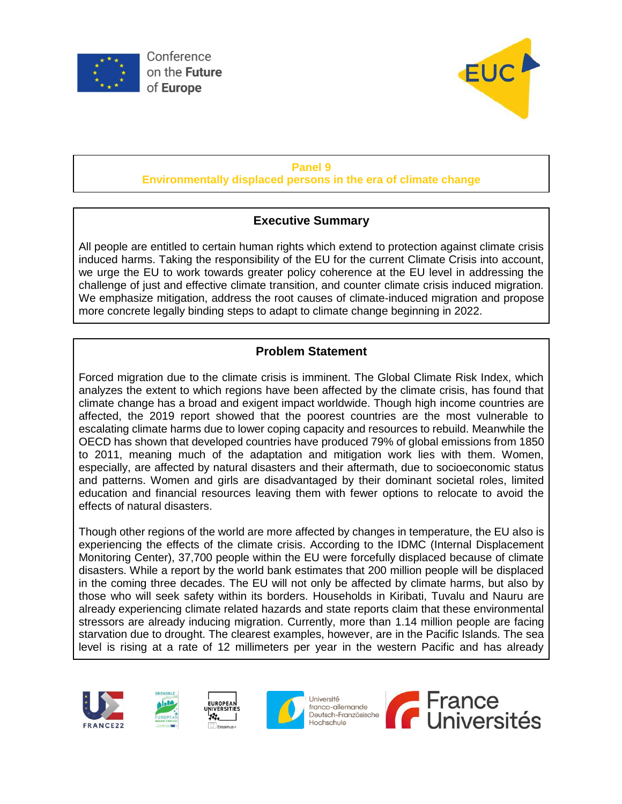



#### **Panel 9 Environmentally displaced persons in the era of climate change**

## **Executive Summary**

All people are entitled to certain human rights which extend to protection against climate crisis induced harms. Taking the responsibility of the EU for the current Climate Crisis into account, we urge the EU to work towards greater policy coherence at the EU level in addressing the challenge of just and effective climate transition, and counter climate crisis induced migration. We emphasize mitigation, address the root causes of climate-induced migration and propose more concrete legally binding steps to adapt to climate change beginning in 2022.

### **Problem Statement**

Forced migration due to the climate crisis is imminent. The Global Climate Risk Index, which analyzes the extent to which regions have been affected by the climate crisis, has found that climate change has a broad and exigent impact worldwide. Though high income countries are affected, the 2019 report showed that the poorest countries are the most vulnerable to escalating climate harms due to lower coping capacity and resources to rebuild. Meanwhile the OECD has shown that developed countries have produced 79% of global emissions from 1850 to 2011, meaning much of the adaptation and mitigation work lies with them. Women, especially, are affected by natural disasters and their aftermath, due to socioeconomic status and patterns. Women and girls are disadvantaged by their dominant societal roles, limited education and financial resources leaving them with fewer options to relocate to avoid the effects of natural disasters.

Though other regions of the world are more affected by changes in temperature, the EU also is experiencing the effects of the climate crisis. According to the IDMC (Internal Displacement Monitoring Center), 37,700 people within the EU were forcefully displaced because of climate disasters. While a report by the world bank estimates that 200 million people will be displaced in the coming three decades. The EU will not only be affected by climate harms, but also by those who will seek safety within its borders. Households in Kiribati, Tuvalu and Nauru are already experiencing climate related hazards and state reports claim that these environmental stressors are already inducing migration. Currently, more than [1.14 million people](https://news.un.org/en/story/2021/06/1094632) are facing starvation due to drought. The clearest examples, however, are in the Pacific Islands. The sea level is rising at a rate of 12 millimeters per year in the western Pacific and has already

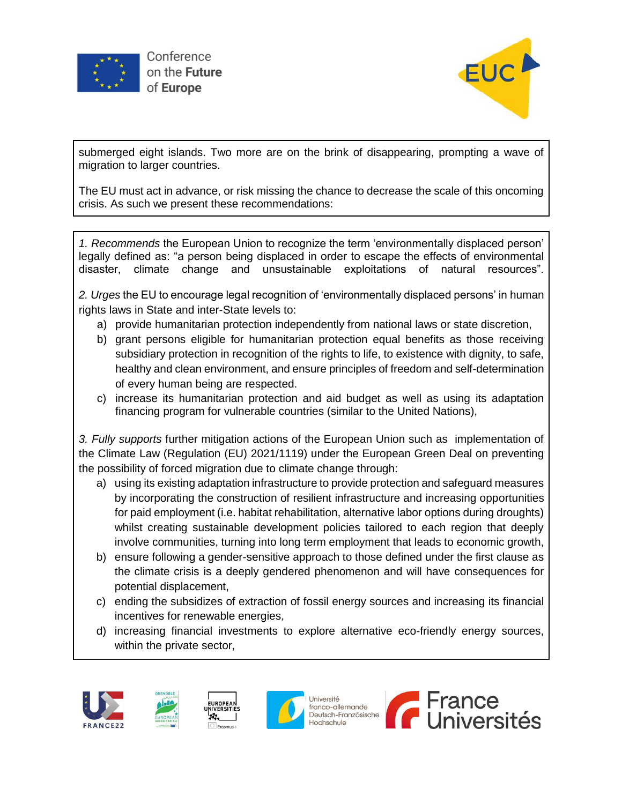



submerged eight islands. Two more are on the brink of disappearing, prompting a wave of migration to larger countries.

The EU must act in advance, or risk missing the chance to decrease the scale of this oncoming crisis. As such we present these recommendations:

*1. Recommends* the European Union to recognize the term 'environmentally displaced person' legally defined as: "a person being displaced in order to escape the effects of environmental disaster, climate change and unsustainable exploitations of natural resources".

*2. Urges* the EU to encourage legal recognition of 'environmentally displaced persons' in human rights laws in State and inter-State levels to:

- a) provide humanitarian protection independently from national laws or state discretion,
- b) grant persons eligible for humanitarian protection equal benefits as those receiving subsidiary protection in recognition of the rights to life, to existence with dignity, to safe, healthy and clean environment, and ensure principles of freedom and self-determination of every human being are respected.
- c) increase its humanitarian protection and aid budget as well as using its adaptation financing program for vulnerable countries (similar to the United Nations),

*3. Fully supports* further mitigation actions of the European Union such as implementation of the Climate Law (Regulation (EU) 2021/1119) under the European Green Deal on preventing the possibility of forced migration due to climate change through:

- a) using its existing adaptation infrastructure to provide protection and safeguard measures by incorporating the construction of resilient infrastructure and increasing opportunities for paid employment (i.e. habitat rehabilitation, alternative labor options during droughts) whilst creating sustainable development policies tailored to each region that deeply involve communities, turning into long term employment that leads to economic growth,
- b) ensure following a gender-sensitive approach to those defined under the first clause as the climate crisis is a deeply gendered phenomenon and will have consequences for potential displacement,
- c) ending the subsidizes of extraction of fossil energy sources and increasing its financial incentives for renewable energies,
- d) increasing financial investments to explore alternative eco-friendly energy sources, within the private sector,

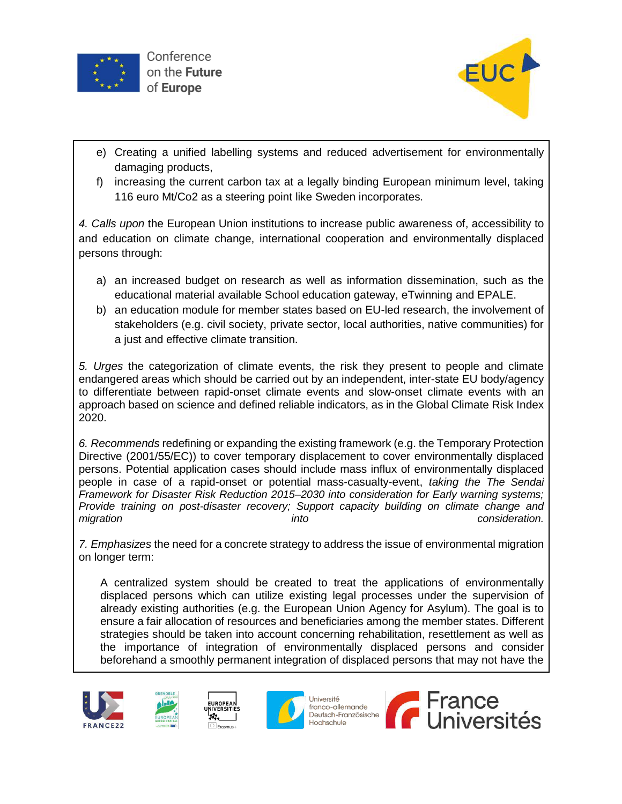



- e) Creating a unified labelling systems and reduced advertisement for environmentally damaging products,
- f) increasing the current carbon tax at a legally binding European minimum level, taking 116 euro Mt/Co2 as a steering point like Sweden incorporates.

*4. Calls upon* the European Union institutions to increase public awareness of, accessibility to and education on climate change, international cooperation and environmentally displaced persons through:

- a) an increased budget on research as well as information dissemination, such as the educational material available School education gateway, eTwinning and EPALE.
- b) an education module for member states based on EU-led research, the involvement of stakeholders (e.g. civil society, private sector, local authorities, native communities) for a just and effective climate transition.

*5. Urges* the categorization of climate events, the risk they present to people and climate endangered areas which should be carried out by an independent, inter-state EU body/agency to differentiate between rapid-onset climate events and slow-onset climate events with an approach based on science and defined reliable indicators, as in the Global Climate Risk Index 2020.

*6. Recommends* redefining or expanding the existing framework (e.g. the Temporary Protection Directive (2001/55/EC)) to cover temporary displacement to cover environmentally displaced persons. Potential application cases should include mass influx of environmentally displaced people in case of a rapid-onset or potential mass-casualty-event, *taking the The Sendai Framework for Disaster Risk Reduction 2015–2030 into consideration for Early warning systems; Provide training on post-disaster recovery; Support capacity building on climate change and migration into consideration.* 

*7. Emphasizes* the need for a concrete strategy to address the issue of environmental migration on longer term:

A centralized system should be created to treat the applications of environmentally displaced persons which can utilize existing legal processes under the supervision of already existing authorities (e.g. the European Union Agency for Asylum). The goal is to ensure a fair allocation of resources and beneficiaries among the member states. Different strategies should be taken into account concerning rehabilitation, resettlement as well as the importance of integration of environmentally displaced persons and consider beforehand a smoothly permanent integration of displaced persons that may not have the









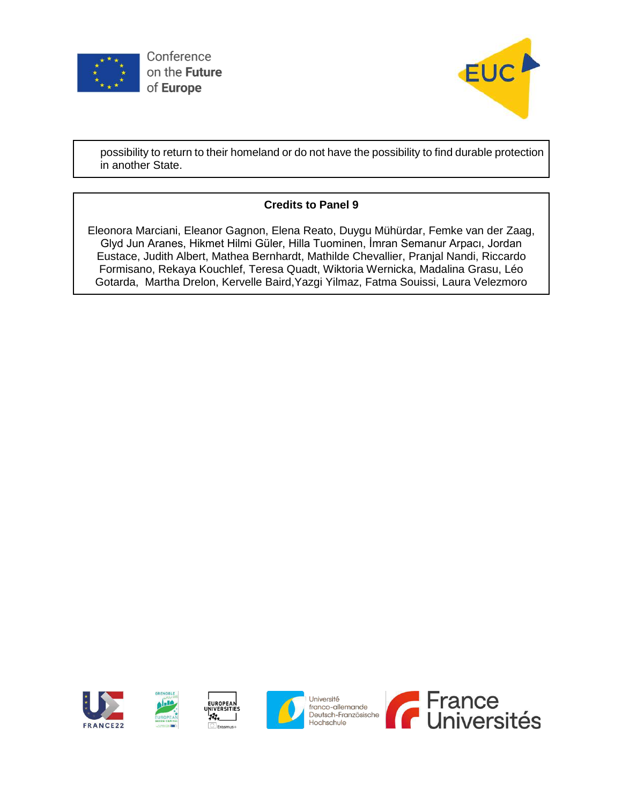



possibility to return to their homeland or do not have the possibility to find durable protection in another State.

### **Credits to Panel 9**

Eleonora Marciani, Eleanor Gagnon, Elena Reato, Duygu Mühürdar, Femke van der Zaag, Glyd Jun Aranes, Hikmet Hilmi Güler, Hilla Tuominen, İmran Semanur Arpacı, Jordan Eustace, Judith Albert, Mathea Bernhardt, Mathilde Chevallier, Pranjal Nandi, Riccardo Formisano, Rekaya Kouchlef, Teresa Quadt, Wiktoria Wernicka, Madalina Grasu, Léo Gotarda, Martha Drelon, Kervelle Baird,Yazgi Yilmaz, Fatma Souissi, Laura Velezmoro

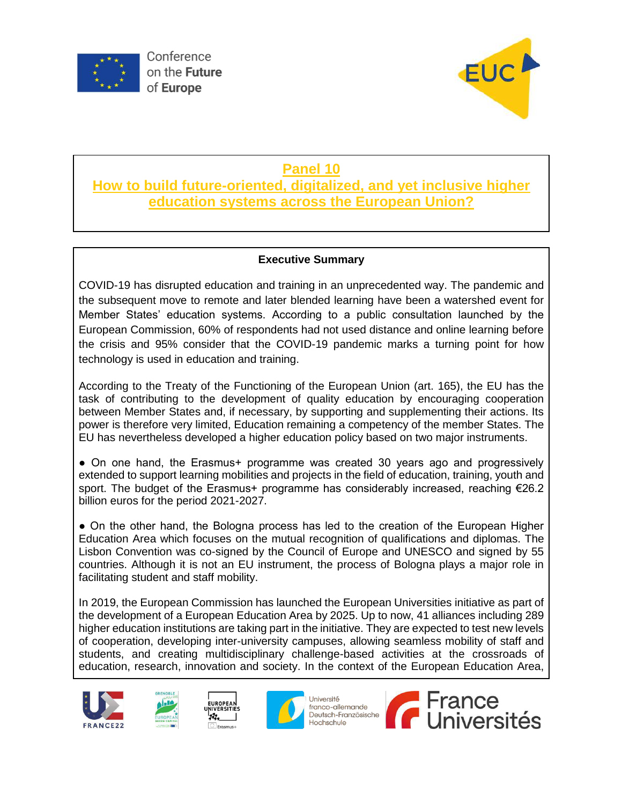



## **Panel 10**

**How to build future-oriented, digitalized, and yet inclusive higher education systems across the European Union?**

### **Executive Summary**

COVID-19 has disrupted education and training in an unprecedented way. The pandemic and the subsequent move to remote and later blended learning have been a watershed event for Member States' education systems. According to a public consultation launched by the European Commission, 60% of respondents had not used distance and online learning before the crisis and 95% consider that the COVID-19 pandemic marks a turning point for how technology is used in education and training.

According to the Treaty of the Functioning of the European Union (art. 165), the EU has the task of contributing to the development of quality education by encouraging cooperation between Member States and, if necessary, by supporting and supplementing their actions. Its power is therefore very limited, Education remaining a competency of the member States. The EU has nevertheless developed a higher education policy based on two major instruments.

• On one hand, the Erasmus+ programme was created 30 years ago and progressively extended to support learning mobilities and projects in the field of education, training, youth and sport. The budget of the Erasmus+ programme has considerably increased, reaching €26.2 billion euros for the period 2021-2027.

• On the other hand, the Bologna process has led to the creation of the European Higher Education Area which focuses on the mutual recognition of qualifications and diplomas. The Lisbon Convention was co-signed by the Council of Europe and UNESCO and signed by 55 countries. Although it is not an EU instrument, the process of Bologna plays a major role in facilitating student and staff mobility.

In 2019, the European Commission has launched the European Universities initiative as part of the development of a European Education Area by 2025. Up to now, 41 alliances including 289 higher education institutions are taking part in the initiative. They are expected to test new levels of cooperation, developing inter-university campuses, allowing seamless mobility of staff and students, and creating multidisciplinary challenge-based activities at the crossroads of education, research, innovation and society. In the context of the European Education Area,







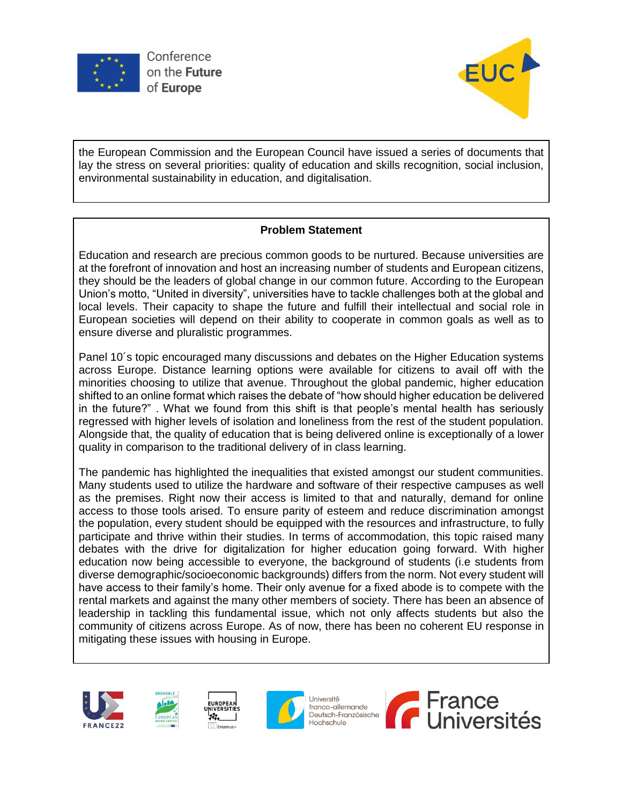



the European Commission and the European Council have issued a series of documents that lay the stress on several priorities: quality of education and skills recognition, social inclusion, environmental sustainability in education, and digitalisation.

#### **Problem Statement**

Education and research are precious common goods to be nurtured. Because universities are at the forefront of innovation and host an increasing number of students and European citizens, they should be the leaders of global change in our common future. According to the European Union's motto, "United in diversity", universities have to tackle challenges both at the global and local levels. Their capacity to shape the future and fulfill their intellectual and social role in European societies will depend on their ability to cooperate in common goals as well as to ensure diverse and pluralistic programmes.

Panel 10´s topic encouraged many discussions and debates on the Higher Education systems across Europe. Distance learning options were available for citizens to avail off with the minorities choosing to utilize that avenue. Throughout the global pandemic, higher education shifted to an online format which raises the debate of "how should higher education be delivered in the future?" . What we found from this shift is that people's mental health has seriously regressed with higher levels of isolation and loneliness from the rest of the student population. Alongside that, the quality of education that is being delivered online is exceptionally of a lower quality in comparison to the traditional delivery of in class learning.

The pandemic has highlighted the inequalities that existed amongst our student communities. Many students used to utilize the hardware and software of their respective campuses as well as the premises. Right now their access is limited to that and naturally, demand for online access to those tools arised. To ensure parity of esteem and reduce discrimination amongst the population, every student should be equipped with the resources and infrastructure, to fully participate and thrive within their studies. In terms of accommodation, this topic raised many debates with the drive for digitalization for higher education going forward. With higher education now being accessible to everyone, the background of students (i.e students from diverse demographic/socioeconomic backgrounds) differs from the norm. Not every student will have access to their family's home. Their only avenue for a fixed abode is to compete with the rental markets and against the many other members of society. There has been an absence of leadership in tackling this fundamental issue, which not only affects students but also the community of citizens across Europe. As of now, there has been no coherent EU response in mitigating these issues with housing in Europe.

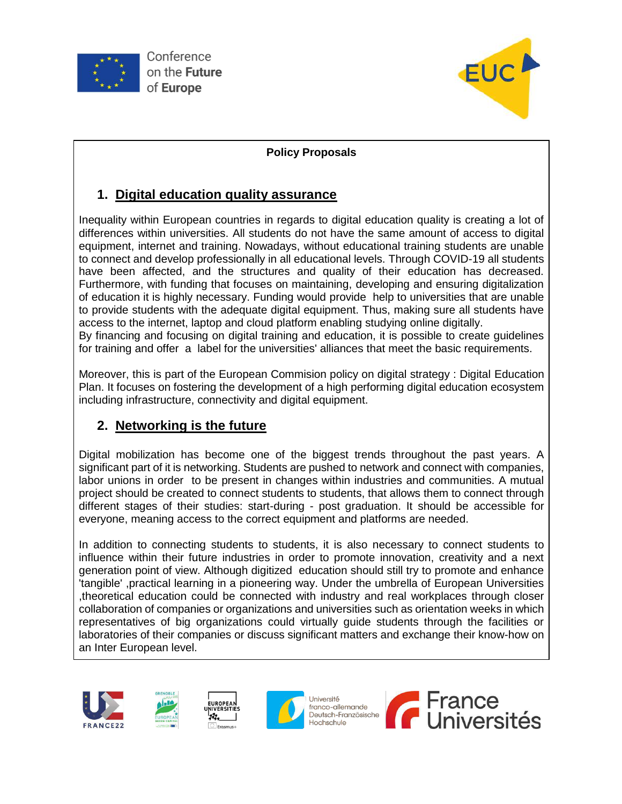



### **Policy Proposals**

## **1. Digital education quality assurance**

Inequality within European countries in regards to digital education quality is creating a lot of differences within universities. All students do not have the same amount of access to digital equipment, internet and training. Nowadays, without educational training students are unable to connect and develop professionally in all educational levels. Through COVID-19 all students have been affected, and the structures and quality of their education has decreased. Furthermore, with funding that focuses on maintaining, developing and ensuring digitalization of education it is highly necessary. Funding would provide help to universities that are unable to provide students with the adequate digital equipment. Thus, making sure all students have access to the internet, laptop and cloud platform enabling studying online digitally. By financing and focusing on digital training and education, it is possible to create guidelines for training and offer a label for the universities' alliances that meet the basic requirements.

Moreover, this is part of the European Commision policy on digital strategy : Digital Education Plan. It focuses on fostering the development of a high performing digital education ecosystem including infrastructure, connectivity and digital equipment.

## **2. Networking is the future**

Digital mobilization has become one of the biggest trends throughout the past years. A significant part of it is networking. Students are pushed to network and connect with companies, labor unions in order to be present in changes within industries and communities. A mutual project should be created to connect students to students, that allows them to connect through different stages of their studies: start-during - post graduation. It should be accessible for everyone, meaning access to the correct equipment and platforms are needed.

In addition to connecting students to students, it is also necessary to connect students to influence within their future industries in order to promote innovation, creativity and a next generation point of view. Although digitized education should still try to promote and enhance 'tangible' ,practical learning in a pioneering way. Under the umbrella of European Universities ,theoretical education could be connected with industry and real workplaces through closer collaboration of companies or organizations and universities such as orientation weeks in which representatives of big organizations could virtually guide students through the facilities or laboratories of their companies or discuss significant matters and exchange their know-how on an Inter European level.

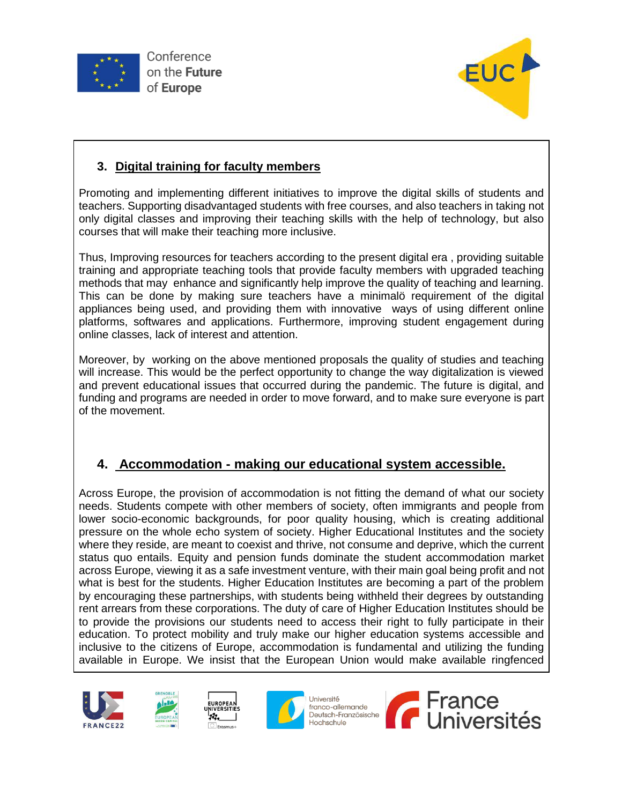



### **3. Digital training for faculty members**

Promoting and implementing different initiatives to improve the digital skills of students and teachers. Supporting disadvantaged students with free courses, and also teachers in taking not only digital classes and improving their teaching skills with the help of technology, but also courses that will make their teaching more inclusive.

Thus, Improving resources for teachers according to the present digital era , providing suitable training and appropriate teaching tools that provide faculty members with upgraded teaching methods that may enhance and significantly help improve the quality of teaching and learning. This can be done by making sure teachers have a minimalö requirement of the digital appliances being used, and providing them with innovative ways of using different online platforms, softwares and applications. Furthermore, improving student engagement during online classes, lack of interest and attention.

Moreover, by working on the above mentioned proposals the quality of studies and teaching will increase. This would be the perfect opportunity to change the way digitalization is viewed and prevent educational issues that occurred during the pandemic. The future is digital, and funding and programs are needed in order to move forward, and to make sure everyone is part of the movement.

## **4. Accommodation - making our educational system accessible.**

Across Europe, the provision of accommodation is not fitting the demand of what our society needs. Students compete with other members of society, often immigrants and people from lower socio-economic backgrounds, for poor quality housing, which is creating additional pressure on the whole echo system of society. Higher Educational Institutes and the society where they reside, are meant to coexist and thrive, not consume and deprive, which the current status quo entails. Equity and pension funds dominate the student accommodation market across Europe, viewing it as a safe investment venture, with their main goal being profit and not what is best for the students. Higher Education Institutes are becoming a part of the problem by encouraging these partnerships, with students being withheld their degrees by outstanding rent arrears from these corporations. The duty of care of Higher Education Institutes should be to provide the provisions our students need to access their right to fully participate in their education. To protect mobility and truly make our higher education systems accessible and inclusive to the citizens of Europe, accommodation is fundamental and utilizing the funding available in Europe. We insist that the European Union would make available ringfenced







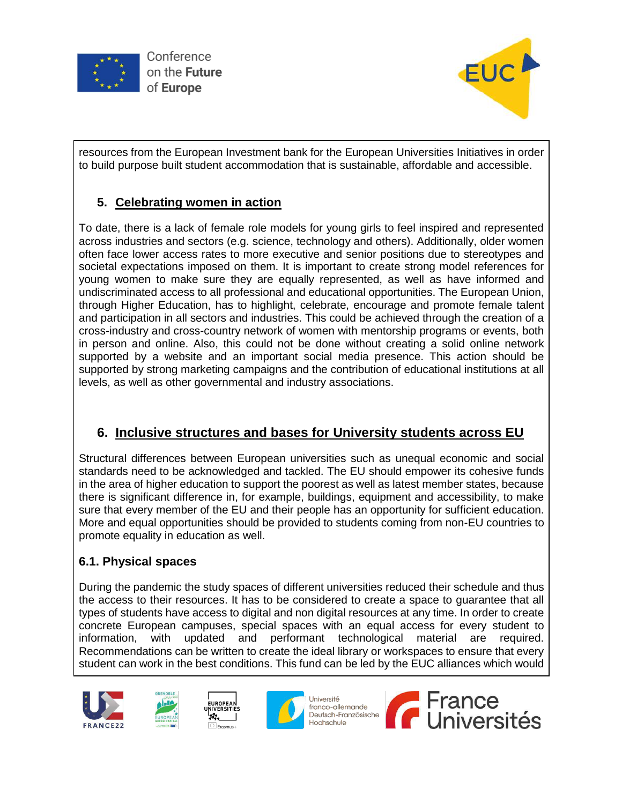



resources from the European Investment bank for the European Universities Initiatives in order to build purpose built student accommodation that is sustainable, affordable and accessible.

## **5. Celebrating women in action**

To date, there is a lack of female role models for young girls to feel inspired and represented across industries and sectors (e.g. science, technology and others). Additionally, older women often face lower access rates to more executive and senior positions due to stereotypes and societal expectations imposed on them. It is important to create strong model references for young women to make sure they are equally represented, as well as have informed and undiscriminated access to all professional and educational opportunities. The European Union, through Higher Education, has to highlight, celebrate, encourage and promote female talent and participation in all sectors and industries. This could be achieved through the creation of a cross-industry and cross-country network of women with mentorship programs or events, both in person and online. Also, this could not be done without creating a solid online network supported by a website and an important social media presence. This action should be supported by strong marketing campaigns and the contribution of educational institutions at all levels, as well as other governmental and industry associations.

## **6. Inclusive structures and bases for University students across EU**

Structural differences between European universities such as unequal economic and social standards need to be acknowledged and tackled. The EU should empower its cohesive funds in the area of higher education to support the poorest as well as latest member states, because there is significant difference in, for example, buildings, equipment and accessibility, to make sure that every member of the EU and their people has an opportunity for sufficient education. More and equal opportunities should be provided to students coming from non-EU countries to promote equality in education as well.

## **6.1. Physical spaces**

During the pandemic the study spaces of different universities reduced their schedule and thus the access to their resources. It has to be considered to create a space to guarantee that all types of students have access to digital and non digital resources at any time. In order to create concrete European campuses, special spaces with an equal access for every student to information, with updated and performant technological material are required. Recommendations can be written to create the ideal library or workspaces to ensure that every student can work in the best conditions. This fund can be led by the EUC alliances which would







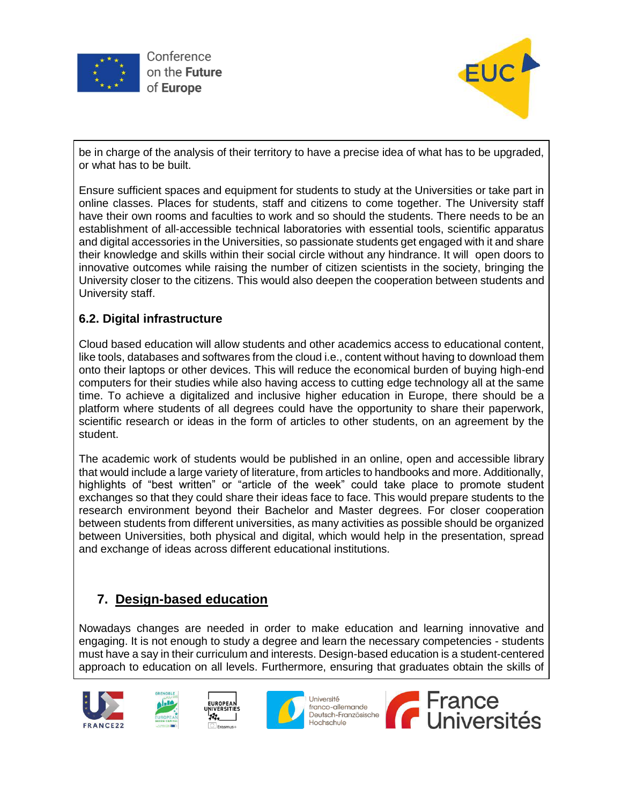



be in charge of the analysis of their territory to have a precise idea of what has to be upgraded, or what has to be built.

Ensure sufficient spaces and equipment for students to study at the Universities or take part in online classes. Places for students, staff and citizens to come together. The University staff have their own rooms and faculties to work and so should the students. There needs to be an establishment of all-accessible technical laboratories with essential tools, scientific apparatus and digital accessories in the Universities, so passionate students get engaged with it and share their knowledge and skills within their social circle without any hindrance. It will open doors to innovative outcomes while raising the number of citizen scientists in the society, bringing the University closer to the citizens. This would also deepen the cooperation between students and University staff.

### **6.2. Digital infrastructure**

Cloud based education will allow students and other academics access to educational content, like tools, databases and softwares from the cloud i.e., content without having to download them onto their laptops or other devices. This will reduce the economical burden of buying high-end computers for their studies while also having access to cutting edge technology all at the same time. To achieve a digitalized and inclusive higher education in Europe, there should be a platform where students of all degrees could have the opportunity to share their paperwork, scientific research or ideas in the form of articles to other students, on an agreement by the student.

The academic work of students would be published in an online, open and accessible library that would include a large variety of literature, from articles to handbooks and more. Additionally, highlights of "best written" or "article of the week" could take place to promote student exchanges so that they could share their ideas face to face. This would prepare students to the research environment beyond their Bachelor and Master degrees. For closer cooperation between students from different universities, as many activities as possible should be organized between Universities, both physical and digital, which would help in the presentation, spread and exchange of ideas across different educational institutions.

## **7. Design-based education**

Nowadays changes are needed in order to make education and learning innovative and engaging. It is not enough to study a degree and learn the necessary competencies - students must have a say in their curriculum and interests. Design-based education is a student-centered approach to education on all levels. Furthermore, ensuring that graduates obtain the skills of





74,



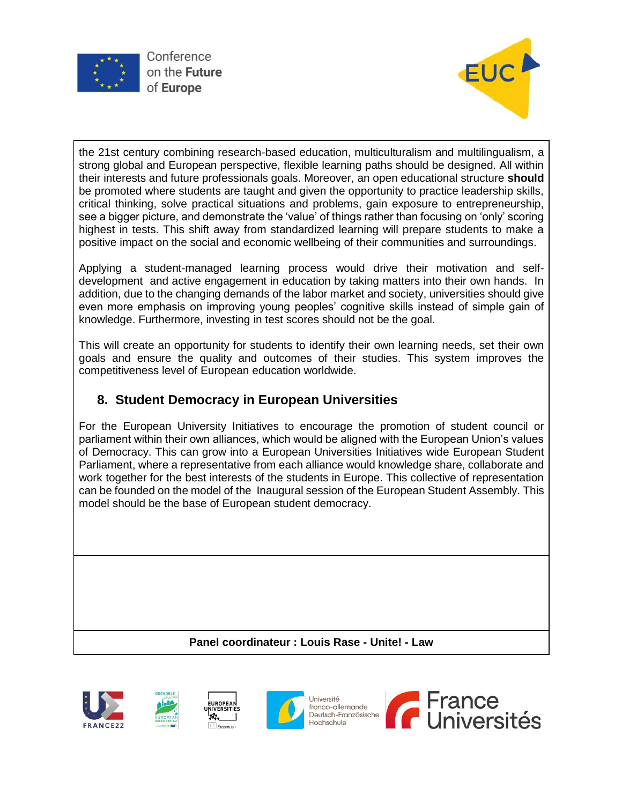



the 21st century combining research-based education, multiculturalism and multilingualism, a strong global and European perspective, flexible learning paths should be designed. All within their interests and future professionals goals. Moreover, an open educational structure **should**  be promoted where students are taught and given the opportunity to practice leadership skills, critical thinking, solve practical situations and problems, gain exposure to entrepreneurship, see a bigger picture, and demonstrate the 'value' of things rather than focusing on 'only' scoring highest in tests. This shift away from standardized learning will prepare students to make a positive impact on the social and economic wellbeing of their communities and surroundings.

Applying a student-managed learning process would drive their motivation and selfdevelopment and active engagement in education by taking matters into their own hands. In addition, due to the changing demands of the labor market and society, universities should give even more emphasis on improving young peoples' cognitive skills instead of simple gain of knowledge. Furthermore, investing in test scores should not be the goal.

This will create an opportunity for students to identify their own learning needs, set their own goals and ensure the quality and outcomes of their studies. This system improves the competitiveness level of European education worldwide.

## **8. Student Democracy in European Universities**

For the European University Initiatives to encourage the promotion of student council or parliament within their own alliances, which would be aligned with the European Union's values of Democracy. This can grow into a European Universities Initiatives wide European Student Parliament, where a representative from each alliance would knowledge share, collaborate and work together for the best interests of the students in Europe. This collective of representation can be founded on the model of the Inaugural session of the European Student Assembly. This model should be the base of European student democracy.

### **Panel coordinateur : Louis Rase - Unite! - Law**

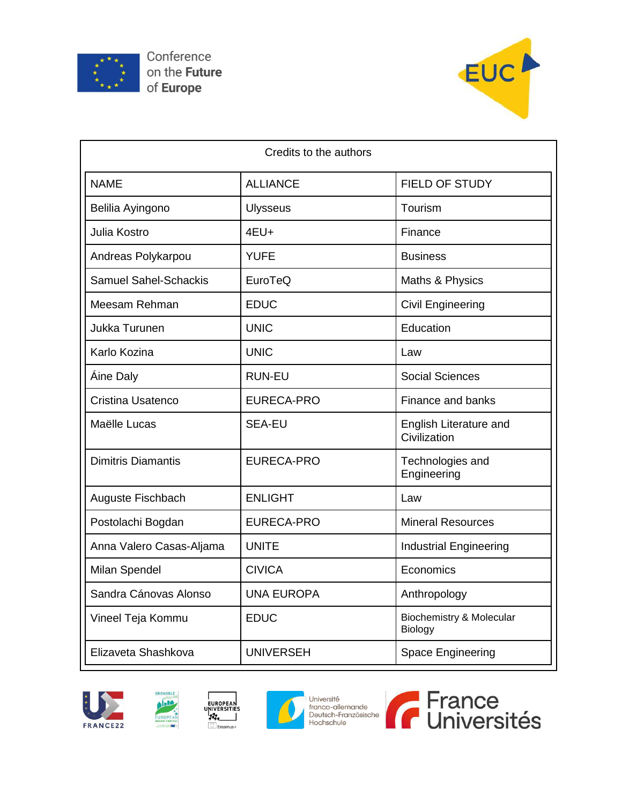



| Credits to the authors       |                   |                                                |
|------------------------------|-------------------|------------------------------------------------|
| <b>NAME</b>                  | <b>ALLIANCE</b>   | <b>FIELD OF STUDY</b>                          |
| Belilia Ayingono             | <b>Ulysseus</b>   | Tourism                                        |
| Julia Kostro                 | 4EU+              | Finance                                        |
| Andreas Polykarpou           | <b>YUFE</b>       | <b>Business</b>                                |
| <b>Samuel Sahel-Schackis</b> | EuroTeQ           | Maths & Physics                                |
| Meesam Rehman                | <b>EDUC</b>       | <b>Civil Engineering</b>                       |
| Jukka Turunen                | <b>UNIC</b>       | Education                                      |
| Karlo Kozina                 | <b>UNIC</b>       | Law                                            |
| Áine Daly                    | <b>RUN-EU</b>     | <b>Social Sciences</b>                         |
| Cristina Usatenco            | EURECA-PRO        | Finance and banks                              |
| Maëlle Lucas                 | <b>SEA-EU</b>     | English Literature and<br>Civilization         |
| <b>Dimitris Diamantis</b>    | <b>EURECA-PRO</b> | Technologies and<br>Engineering                |
| Auguste Fischbach            | <b>ENLIGHT</b>    | Law                                            |
| Postolachi Bogdan            | <b>EURECA-PRO</b> | <b>Mineral Resources</b>                       |
| Anna Valero Casas-Aljama     | <b>UNITE</b>      | <b>Industrial Engineering</b>                  |
| Milan Spendel                | <b>CIVICA</b>     | Economics                                      |
| Sandra Cánovas Alonso        | <b>UNA EUROPA</b> | Anthropology                                   |
| Vineel Teja Kommu            | <b>EDUC</b>       | <b>Biochemistry &amp; Molecular</b><br>Biology |
| Elizaveta Shashkova          | <b>UNIVERSEH</b>  | Space Engineering                              |